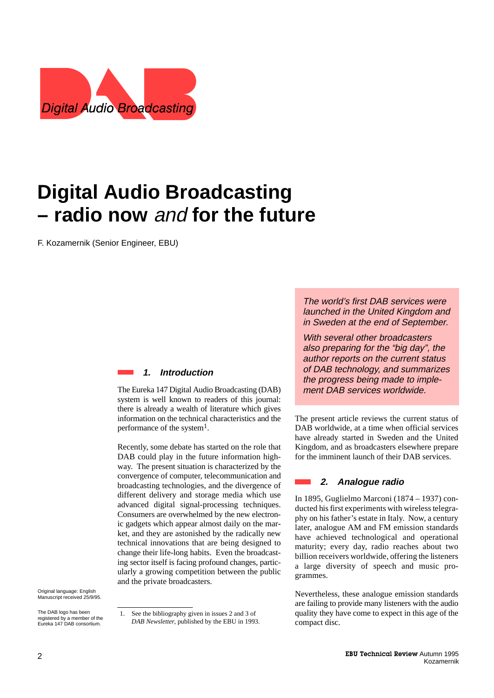

# **Digital Audio Broadcasting – radio now** and **for the future**

F. Kozamernik (Senior Engineer, EBU)

### **1. Introduction**

The Eureka 147 Digital Audio Broadcasting (DAB) system is well known to readers of this journal: there is already a wealth of literature which gives information on the technical characteristics and the performance of the system<sup>1</sup>.

Recently, some debate has started on the role that DAB could play in the future information highway. The present situation is characterized by the convergence of computer, telecommunication and broadcasting technologies, and the divergence of different delivery and storage media which use advanced digital signal-processing techniques. Consumers are overwhelmed by the new electronic gadgets which appear almost daily on the market, and they are astonished by the radically new technical innovations that are being designed to change their life-long habits. Even the broadcasting sector itself is facing profound changes, particularly a growing competition between the public and the private broadcasters.

Original language: English Manuscript received 25/9/95.

The DAB logo has been registered by a member of the Eureka 147 DAB consortium.

The world's first DAB services were launched in the United Kingdom and in Sweden at the end of September.

With several other broadcasters also preparing for the "big day", the author reports on the current status of DAB technology, and summarizes the progress being made to implement DAB services worldwide.

The present article reviews the current status of DAB worldwide, at a time when official services have already started in Sweden and the United Kingdom, and as broadcasters elsewhere prepare for the imminent launch of their DAB services.

### **2. Analogue radio**

In 1895, Guglielmo Marconi (1874 – 1937) conducted his first experiments with wireless telegraphy on his father's estate in Italy. Now, a century later, analogue AM and FM emission standards have achieved technological and operational maturity; every day, radio reaches about two billion receivers worldwide, offering the listeners a large diversity of speech and music programmes.

Nevertheless, these analogue emission standards are failing to provide many listeners with the audio quality they have come to expect in this age of the compact disc.

See the bibliography given in issues 2 and 3 of *DAB Newsletter*, published by the EBU in 1993.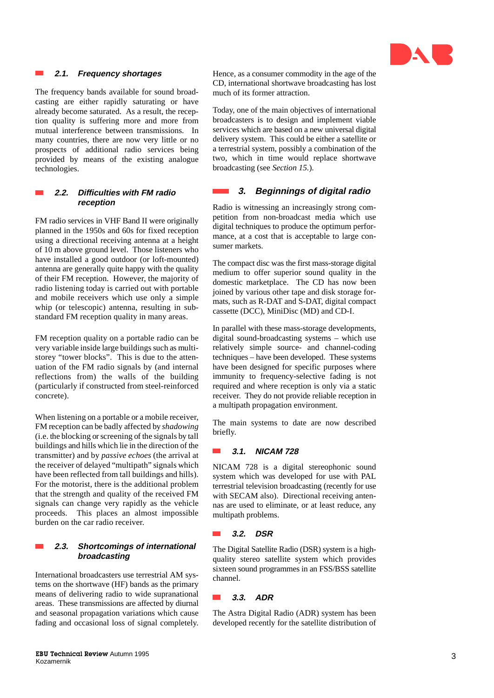

### **2.1. Frequency shortages**

The frequency bands available for sound broadcasting are either rapidly saturating or have already become saturated. As a result, the reception quality is suffering more and more from mutual interference between transmissions. In many countries, there are now very little or no prospects of additional radio services being provided by means of the existing analogue technologies.

### **2.2. Difficulties with FM radio reception**

FM radio services in VHF Band II were originally planned in the 1950s and 60s for fixed reception using a directional receiving antenna at a height of 10 m above ground level. Those listeners who have installed a good outdoor (or loft-mounted) antenna are generally quite happy with the quality of their FM reception. However, the majority of radio listening today is carried out with portable and mobile receivers which use only a simple whip (or telescopic) antenna, resulting in substandard FM reception quality in many areas.

FM reception quality on a portable radio can be very variable inside large buildings such as multistorey "tower blocks". This is due to the attenuation of the FM radio signals by (and internal reflections from) the walls of the building (particularly if constructed from steel-reinforced concrete).

When listening on a portable or a mobile receiver, FM reception can be badly affected by *shadowing* (i.e. the blocking or screening of the signals by tall buildings and hills which lie in the direction of the transmitter) and by *passive echoes* (the arrival at the receiver of delayed "multipath" signals which have been reflected from tall buildings and hills). For the motorist, there is the additional problem that the strength and quality of the received FM signals can change very rapidly as the vehicle proceeds. This places an almost impossible burden on the car radio receiver.

### **2.3. Shortcomings of international broadcasting**

International broadcasters use terrestrial AM systems on the shortwave (HF) bands as the primary means of delivering radio to wide supranational areas. These transmissions are affected by diurnal and seasonal propagation variations which cause fading and occasional loss of signal completely. Hence, as a consumer commodity in the age of the CD, international shortwave broadcasting has lost much of its former attraction.

Today, one of the main objectives of international broadcasters is to design and implement viable services which are based on a new universal digital delivery system. This could be either a satellite or a terrestrial system, possibly a combination of the two, which in time would replace shortwave broadcasting (see *Section 15.*).

### **3. Beginnings of digital radio**

Radio is witnessing an increasingly strong competition from non-broadcast media which use digital techniques to produce the optimum performance, at a cost that is acceptable to large consumer markets.

The compact disc was the first mass-storage digital medium to offer superior sound quality in the domestic marketplace. The CD has now been joined by various other tape and disk storage formats, such as R-DAT and S-DAT, digital compact cassette (DCC), MiniDisc (MD) and CD-I.

In parallel with these mass-storage developments, digital sound-broadcasting systems – which use relatively simple source- and channel-coding techniques – have been developed. These systems have been designed for specific purposes where immunity to frequency-selective fading is not required and where reception is only via a static receiver. They do not provide reliable reception in a multipath propagation environment.

The main systems to date are now described briefly.

### **3.1. NICAM 728**

NICAM 728 is a digital stereophonic sound system which was developed for use with PAL terrestrial television broadcasting (recently for use with SECAM also). Directional receiving antennas are used to eliminate, or at least reduce, any multipath problems.

### **3.2. DSR**

The Digital Satellite Radio (DSR) system is a highquality stereo satellite system which provides sixteen sound programmes in an FSS/BSS satellite channel.

### **3.3. ADR**

The Astra Digital Radio (ADR) system has been developed recently for the satellite distribution of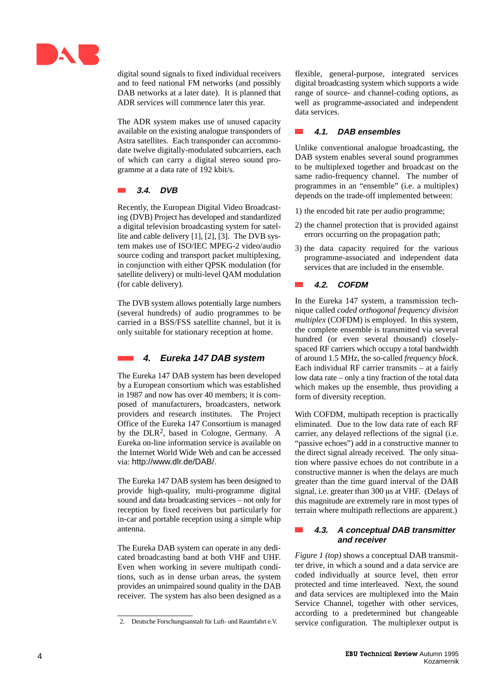

digital sound signals to fixed individual receivers and to feed national FM networks (and possibly DAB networks at a later date). It is planned that ADR services will commence later this year.

The ADR system makes use of unused capacity available on the existing analogue transponders of Astra satellites. Each transponder can accommodate twelve digitally-modulated subcarriers, each of which can carry a digital stereo sound programme at a data rate of 192 kbit/s.

### **3.4. DVB**

Recently, the European Digital Video Broadcasting (DVB) Project has developed and standardized a digital television broadcasting system for satellite and cable delivery [1], [2], [3]. The DVB system makes use of ISO/IEC MPEG-2 video/audio source coding and transport packet multiplexing, in conjunction with either QPSK modulation (for satellite delivery) or multi-level QAM modulation (for cable delivery).

The DVB system allows potentially large numbers (several hundreds) of audio programmes to be carried in a BSS/FSS satellite channel, but it is only suitable for stationary reception at home.

### **4. Eureka 147 DAB system**

The Eureka 147 DAB system has been developed by a European consortium which was established in 1987 and now has over 40 members; it is composed of manufacturers, broadcasters, network providers and research institutes. The Project Office of the Eureka 147 Consortium is managed by the DLR 2, based in Cologne, Germany. A Eureka on-line information service is available on the Internet World Wide Web and can be accessed via: http://www.dlr.de/DAB/.

The Eureka 147 DAB system has been designed to provide high-quality, multi-programme digital sound and data broadcasting services – not only for reception by fixed receivers but particularly for in-car and portable reception using a simple whip antenna.

The Eureka DAB system can operate in any dedicated broadcasting band at both VHF and UHF. Even when working in severe multipath conditions, such as in dense urban areas, the system provides an unimpaired sound quality in the DAB receiver. The system has also been designed as a flexible, general-purpose, integrated services digital broadcasting system which supports a wide range of source- and channel-coding options, as well as programme-associated and independent data services.

### **4.1. DAB ensembles**

Unlike conventional analogue broadcasting, the DAB system enables several sound programmes to be multiplexed together and broadcast on the same radio-frequency channel. The number of programmes in an "ensemble" (i.e. a multiplex) depends on the trade-off implemented between:

- 1) the encoded bit rate per audio programme;
- 2) the channel protection that is provided against errors occurring on the propagation path;
- 3) the data capacity required for the various programme-associated and independent data services that are included in the ensemble.

### **4.2. COFDM**

In the Eureka 147 system, a transmission technique called *coded orthogonal frequency division multiplex* (COFDM) is employed. In this system, the complete ensemble is transmitted via several hundred (or even several thousand) closelyspaced RF carriers which occupy a total bandwidth of around 1.5 MHz, the so-called *frequency block* . Each individual RF carrier transmits – at a fairly low data rate – only a tiny fraction of the total data which makes up the ensemble, thus providing a form of diversity reception.

With COFDM, multipath reception is practically eliminated. Due to the low data rate of each RF carrier, any delayed reflections of the signal (i.e. "passive echoes") add in a constructive manner to the direct signal already received. The only situation where passive echoes do not contribute in a constructive manner is when the delays are much greater than the time guard interval of the DAB signal, i.e. greater than 300 us at VHF. (Delays of this magnitude are extremely rare in most types of terrain where multipath reflections are apparent.)

### **4.3. A conceptual DAB transmitter and receiver**

*Figure 1 (top)* shows a conceptual DAB transmitter drive, in which a sound and a data service are coded individually at source level, then error protected and time interleaved. Next, the sound and data services are multiplexed into the Main Service Channel, together with other services, according to a predetermined but changeable service configuration. The multiplexer output is

<sup>2.</sup> Deutsche Forschungsanstalt für Luft- und Raumfahrt e.V.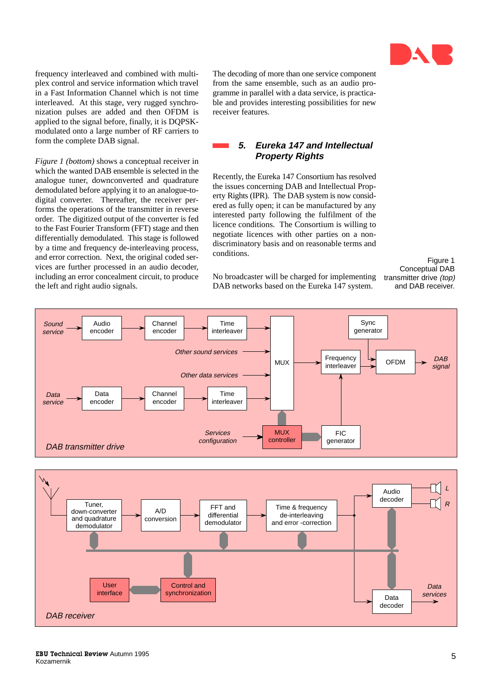

frequency interleaved and combined with multiplex control and service information which travel in a Fast Information Channel which is not time interleaved. At this stage, very rugged synchronization pulses are added and then OFDM is applied to the signal before, finally, it is DQPSKmodulated onto a large number of RF carriers to form the complete DAB signal.

*Figure 1 (bottom)* shows a conceptual receiver in which the wanted DAB ensemble is selected in the analogue tuner, downconverted and quadrature demodulated before applying it to an analogue-todigital converter. Thereafter, the receiver performs the operations of the transmitter in reverse order. The digitized output of the converter is fed to the Fast Fourier Transform (FFT) stage and then differentially demodulated. This stage is followed by a time and frequency de-interleaving process, and error correction. Next, the original coded services are further processed in an audio decoder, including an error concealment circuit, to produce the left and right audio signals.

The decoding of more than one service component from the same ensemble, such as an audio programme in parallel with a data service, is practicable and provides interesting possibilities for new receiver features.

### **5. Eureka 147 and Intellectual Property Rights**

Recently, the Eureka 147 Consortium has resolved the issues concerning DAB and Intellectual Property Rights (IPR). The DAB system is now considered as fully open; it can be manufactured by any interested party following the fulfilment of the licence conditions. The Consortium is willing to negotiate licences with other parties on a nondiscriminatory basis and on reasonable terms and conditions.

Figure 1 Conceptual DAB transmitter drive (top) and DAB receiver.

No broadcaster will be charged for implementing DAB networks based on the Eureka 147 system.



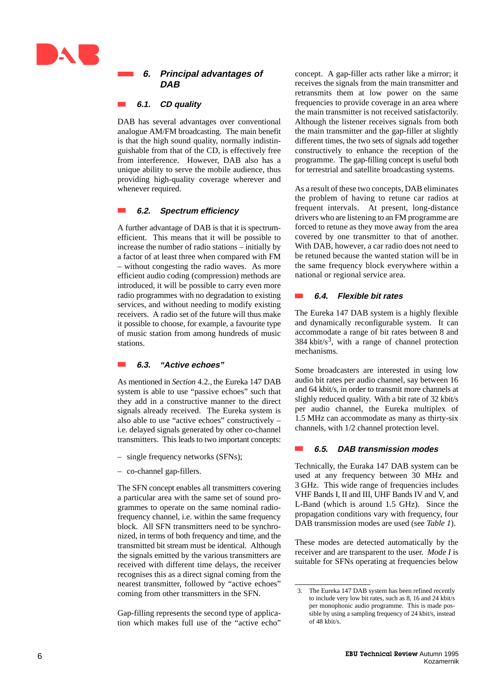

### **6. Principal advantages of DAB**

### **6.1. CD quality**

DAB has several advantages over conventional analogue AM/FM broadcasting. The main benefit is that the high sound quality, normally indistinguishable from that of the CD, is effectively free from interference. However, DAB also has a unique ability to serve the mobile audience, thus providing high-quality coverage wherever and whenever required.

### **6.2. Spectrum efficiency**

A further advantage of DAB is that it is spectrumefficient. This means that it will be possible to increase the number of radio stations – initially by a factor of at least three when compared with FM – without congesting the radio waves. As more efficient audio coding (compression) methods are introduced, it will be possible to carry even more radio programmes with no degradation to existing services, and without needing to modify existing receivers. A radio set of the future will thus make it possible to choose, for example, a favourite type of music station from among hundreds of music stations.

### **6.3. "Active echoes"**

As mentioned in *Section* 4.2.*,* the Eureka 147 DAB system is able to use "passive echoes" such that they add in a constructive manner to the direct signals already received. The Eureka system is also able to use "active echoes" constructively – i.e. delayed signals generated by other co-channel transmitters. This leads to two important concepts:

- single frequency networks (SFNs);
- co-channel gap-fillers.

The SFN concept enables all transmitters covering a particular area with the same set of sound programmes to operate on the same nominal radiofrequency channel, i.e. within the same frequency block. All SFN transmitters need to be synchronized, in terms of both frequency and time, and the transmitted bit stream must be identical. Although the signals emitted by the various transmitters are received with different time delays, the receiver recognises this as a direct signal coming from the nearest transmitter, followed by "active echoes" coming from other transmitters in the SFN.

Gap-filling represents the second type of application which makes full use of the "active echo" concept. A gap-filler acts rather like a mirror; it receives the signals from the main transmitter and retransmits them at low power on the same frequencies to provide coverage in an area where the main transmitter is not received satisfactorily. Although the listener receives signals from both the main transmitter and the gap-filler at slightly different times, the two sets of signals add together constructively to enhance the reception of the programme. The gap-filling concept is useful both for terrestrial and satellite broadcasting systems.

As a result of these two concepts, DAB eliminates the problem of having to retune car radios at frequent intervals. At present, long-distance drivers who are listening to an FM programme are forced to retune as they move away from the area covered by one transmitter to that of another. With DAB, however, a car radio does not need to be retuned because the wanted station will be in the same frequency block everywhere within a national or regional service area.

### **6.4. Flexible bit rates**

The Eureka 147 DAB system is a highly flexible and dynamically reconfigurable system. It can accommodate a range of bit rates between 8 and  $384$  kbit/s<sup>3</sup>, with a range of channel protection mechanisms.

Some broadcasters are interested in using low audio bit rates per audio channel, say between 16 and 64 kbit/s, in order to transmit more channels at slighly reduced quality. With a bit rate of 32 kbit/s per audio channel, the Eureka multiplex of 1.5 MHz can accommodate as many as thirty-six channels, with 1/2 channel protection level.

### **6.5. DAB transmission modes**

Technically, the Euraka 147 DAB system can be used at any frequency between 30 MHz and 3 GHz. This wide range of frequencies includes VHF Bands I, II and III, UHF Bands IV and V, and L-Band (which is around 1.5 GHz). Since the propagation conditions vary with frequency, four DAB transmission modes are used (see *Table 1*).

These modes are detected automatically by the receiver and are transparent to the user. *Mode I* is suitable for SFNs operating at frequencies below

<sup>3.</sup> The Eureka 147 DAB system has been refined recently to include very low bit rates, such as 8, 16 and 24 kbit/s per monophonic audio programme. This is made possible by using a sampling frequency of 24 kbit/s, instead of 48 kbit/s.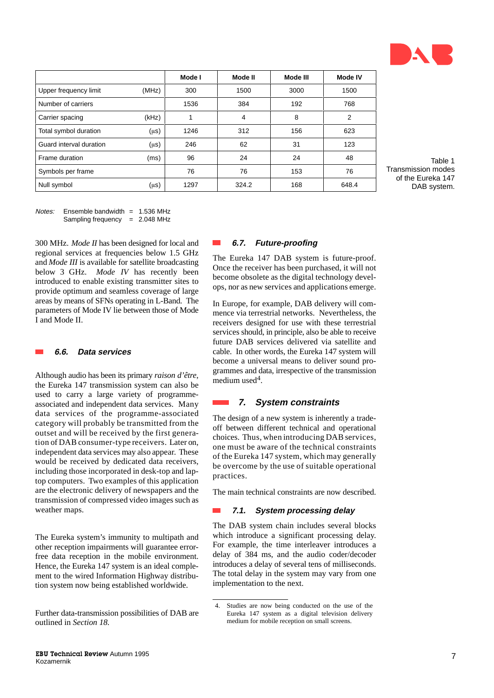

|                         |           | Mode I | Mode II | Mode III | Mode IV        |
|-------------------------|-----------|--------|---------|----------|----------------|
| Upper frequency limit   | (MHz)     | 300    | 1500    | 3000     | 1500           |
| Number of carriers      |           | 1536   | 384     | 192      | 768            |
| Carrier spacing         | (kHz)     |        | 4       | 8        | $\overline{2}$ |
| Total symbol duration   | $(\mu s)$ | 1246   | 312     | 156      | 623            |
| Guard interval duration | $(\mu s)$ | 246    | 62      | 31       | 123            |
| Frame duration          | (ms)      | 96     | 24      | 24       | 48             |
| Symbols per frame       |           | 76     | 76      | 153      | 76             |
| Null symbol             | $(\mu s)$ | 1297   | 324.2   | 168      | 648.4          |

**College** 

 $Notes:$  Ensemble bandwidth = 1.536 MHz Sampling frequency = 2.048 MHz

300 MHz. *Mode II* has been designed for local and regional services at frequencies below 1.5 GHz and *Mode III* is available for satellite broadcasting below 3 GHz. *Mode IV* has recently been introduced to enable existing transmitter sites to provide optimum and seamless coverage of large areas by means of SFNs operating in L-Band. The parameters of Mode IV lie between those of Mode I and Mode II.

### **6.6. Data services**

Although audio has been its primary *raison d'être*, the Eureka 147 transmission system can also be used to carry a large variety of programmeassociated and independent data services. Many data services of the programme-associated category will probably be transmitted from the outset and will be received by the first generation of DAB consumer-type receivers. Later on, independent data services may also appear. These would be received by dedicated data receivers, including those incorporated in desk-top and laptop computers. Two examples of this application are the electronic delivery of newspapers and the transmission of compressed video images such as weather maps.

The Eureka system's immunity to multipath and other reception impairments will guarantee errorfree data reception in the mobile environment. Hence, the Eureka 147 system is an ideal complement to the wired Information Highway distribution system now being established worldwide.

### **6.7. Future-proofing**

The Eureka 147 DAB system is future-proof. Once the receiver has been purchased, it will not become obsolete as the digital technology develops, nor as new services and applications emerge.

In Europe, for example, DAB delivery will commence via terrestrial networks. Nevertheless, the receivers designed for use with these terrestrial services should, in principle, also be able to receive future DAB services delivered via satellite and cable. In other words, the Eureka 147 system will become a universal means to deliver sound programmes and data, irrespective of the transmission medium used<sup>4</sup>.

### **7. System constraints**

The design of a new system is inherently a tradeoff between different technical and operational choices. Thus, when introducing DAB services, one must be aware of the technical constraints of the Eureka 147 system, which may generally be overcome by the use of suitable operational practices.

The main technical constraints are now described.

### **7.1. System processing delay**

The DAB system chain includes several blocks which introduce a significant processing delay. For example, the time interleaver introduces a delay of 384 ms, and the audio coder/decoder introduces a delay of several tens of milliseconds. The total delay in the system may vary from one implementation to the next.

Further data-transmission possibilities of DAB are outlined in *Section 18.*

<sup>4.</sup> Studies are now being conducted on the use of the Eureka 147 system as a digital television delivery medium for mobile reception on small screens.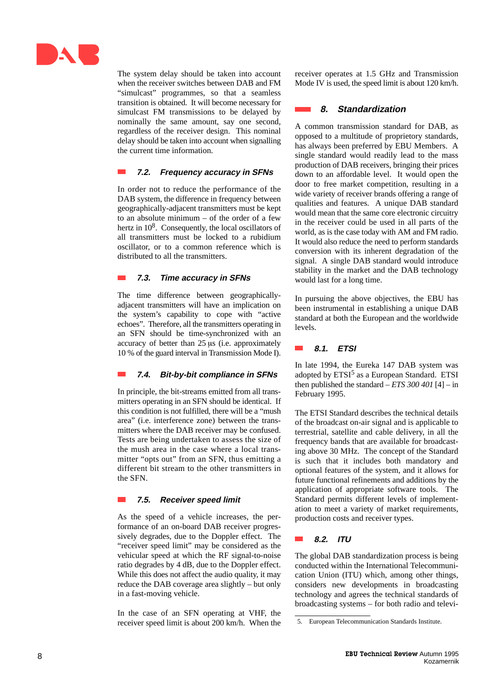

The system delay should be taken into account when the receiver switches between DAB and FM "simulcast" programmes, so that a seamless transition is obtained. It will become necessary for simulcast FM transmissions to be delayed by nominally the same amount, say one second, regardless of the receiver design. This nominal delay should be taken into account when signalling the current time information.

### **7.2. Frequency accuracy in SFNs**

In order not to reduce the performance of the DAB system, the difference in frequency between geographically-adjacent transmitters must be kept to an absolute minimum – of the order of a few hertz in 10<sup>8</sup>. Consequently, the local oscillators of all transmitters must be locked to a rubidium oscillator, or to a common reference which is distributed to all the transmitters.

### **7.3. Time accuracy in SFNs**

The time difference between geographicallyadjacent transmitters will have an implication on the system's capability to cope with "active echoes". Therefore, all the transmitters operating in an SFN should be time-synchronized with an accuracy of better than  $25 \mu s$  (i.e. approximately 10 % of the guard interval in Transmission Mode I).

### **7.4. Bit-by-bit compliance in SFNs**

In principle, the bit-streams emitted from all transmitters operating in an SFN should be identical. If this condition is not fulfilled, there will be a "mush area" (i.e. interference zone) between the transmitters where the DAB receiver may be confused. Tests are being undertaken to assess the size of the mush area in the case where a local transmitter "opts out" from an SFN, thus emitting a different bit stream to the other transmitters in the SFN.

### **7.5. Receiver speed limit**

As the speed of a vehicle increases, the performance of an on-board DAB receiver progressively degrades, due to the Doppler effect. The "receiver speed limit" may be considered as the vehicular speed at which the RF signal-to-noise ratio degrades by 4 dB, due to the Doppler effect. While this does not affect the audio quality, it may reduce the DAB coverage area slightly – but only in a fast-moving vehicle.

In the case of an SFN operating at VHF, the receiver speed limit is about 200 km/h. When the receiver operates at 1.5 GHz and Transmission Mode IV is used, the speed limit is about 120 km/h.

### **8. Standardization**

A common transmission standard for DAB, as opposed to a multitude of proprietory standards, has always been preferred by EBU Members. A single standard would readily lead to the mass production of DAB receivers, bringing their prices down to an affordable level. It would open the door to free market competition, resulting in a wide variety of receiver brands offering a range of qualities and features. A unique DAB standard would mean that the same core electronic circuitry in the receiver could be used in all parts of the world, as is the case today with AM and FM radio. It would also reduce the need to perform standards conversion with its inherent degradation of the signal. A single DAB standard would introduce stability in the market and the DAB technology would last for a long time.

In pursuing the above objectives, the EBU has been instrumental in establishing a unique DAB standard at both the European and the worldwide levels.

#### $\sim$ **8.1. ETSI**

In late 1994, the Eureka 147 DAB system was adopted by ETSI<sup>5</sup> as a European Standard. ETSI then published the standard  $- ETS 300 401$  [4]  $-$  in February 1995.

The ETSI Standard describes the technical details of the broadcast on-air signal and is applicable to terrestrial, satellite and cable delivery, in all the frequency bands that are available for broadcasting above 30 MHz. The concept of the Standard is such that it includes both mandatory and optional features of the system, and it allows for future functional refinements and additions by the application of appropriate software tools. The Standard permits different levels of implementation to meet a variety of market requirements, production costs and receiver types.

### **8.2. ITU**

The global DAB standardization process is being conducted within the International Telecommunication Union (ITU) which, among other things, considers new developments in broadcasting technology and agrees the technical standards of broadcasting systems – for both radio and televi-

<sup>5.</sup> European Telecommunication Standards Institute.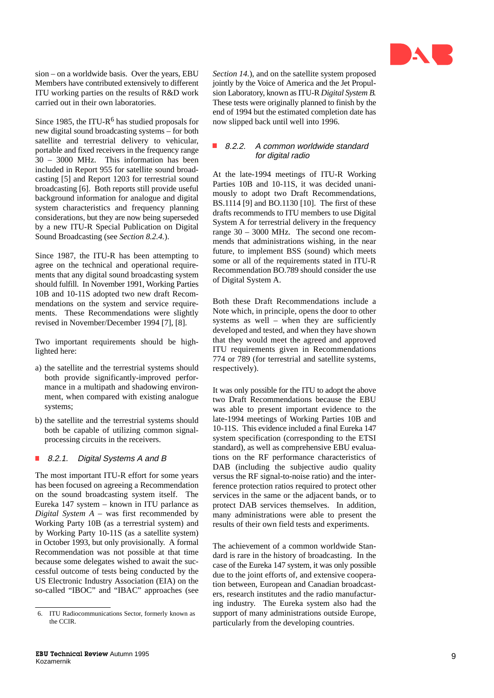

sion – on a worldwide basis. Over the years, EBU Members have contributed extensively to different ITU working parties on the results of R&D work carried out in their own laboratories.

Since 1985, the ITU-R<sup>6</sup> has studied proposals for new digital sound broadcasting systems – for both satellite and terrestrial delivery to vehicular, portable and fixed receivers in the frequency range 30 – 3000 MHz. This information has been included in Report 955 for satellite sound broadcasting [5] and Report 1203 for terrestrial sound broadcasting [6]. Both reports still provide useful background information for analogue and digital system characteristics and frequency planning considerations, but they are now being superseded by a new ITU-R Special Publication on Digital Sound Broadcasting (see *Section 8.2.4.*).

Since 1987, the ITU-R has been attempting to agree on the technical and operational requirements that any digital sound broadcasting system should fulfill. In November 1991, Working Parties 10B and 10-11S adopted two new draft Recommendations on the system and service requirements. These Recommendations were slightly revised in November/December 1994 [7], [8].

Two important requirements should be highlighted here:

- a) the satellite and the terrestrial systems should both provide significantly-improved performance in a multipath and shadowing environment, when compared with existing analogue systems;
- b) the satellite and the terrestrial systems should both be capable of utilizing common signalprocessing circuits in the receivers.

### 8.2.1. Digital Systems A and B

The most important ITU-R effort for some years has been focused on agreeing a Recommendation on the sound broadcasting system itself. The Eureka 147 system – known in ITU parlance as *Digital System A* – was first recommended by Working Party 10B (as a terrestrial system) and by Working Party 10-11S (as a satellite system) in October 1993, but only provisionally. A formal Recommendation was not possible at that time because some delegates wished to await the successful outcome of tests being conducted by the US Electronic Industry Association (EIA) on the so-called "IBOC" and "IBAC" approaches (see *Section 14.*), and on the satellite system proposed jointly by the Voice of America and the Jet Propulsion Laboratory, known as ITU-R *Digital System B.* These tests were originally planned to finish by the end of 1994 but the estimated completion date has now slipped back until well into 1996.

### ■ 8.2.2. A common worldwide standard for digital radio

At the late-1994 meetings of ITU-R Working Parties 10B and 10-11S, it was decided unanimously to adopt two Draft Recommendations, BS.1114 [9] and BO.1130 [10]. The first of these drafts recommends to ITU members to use Digital System A for terrestrial delivery in the frequency range 30 – 3000 MHz. The second one recommends that administrations wishing, in the near future, to implement BSS (sound) which meets some or all of the requirements stated in ITU-R Recommendation BO.789 should consider the use of Digital System A.

Both these Draft Recommendations include a Note which, in principle, opens the door to other systems as well – when they are sufficiently developed and tested, and when they have shown that they would meet the agreed and approved ITU requirements given in Recommendations 774 or 789 (for terrestrial and satellite systems, respectively).

It was only possible for the ITU to adopt the above two Draft Recommendations because the EBU was able to present important evidence to the late-1994 meetings of Working Parties 10B and 10-11S. This evidence included a final Eureka 147 system specification (corresponding to the ETSI standard), as well as comprehensive EBU evaluations on the RF performance characteristics of DAB (including the subjective audio quality versus the RF signal-to-noise ratio) and the interference protection ratios required to protect other services in the same or the adjacent bands, or to protect DAB services themselves. In addition, many administrations were able to present the results of their own field tests and experiments.

The achievement of a common worldwide Standard is rare in the history of broadcasting. In the case of the Eureka 147 system, it was only possible due to the joint efforts of, and extensive cooperation between, European and Canadian broadcasters, research institutes and the radio manufacturing industry. The Eureka system also had the support of many administrations outside Europe, particularly from the developing countries.

<sup>6.</sup> ITU Radiocommunications Sector, formerly known as the CCIR.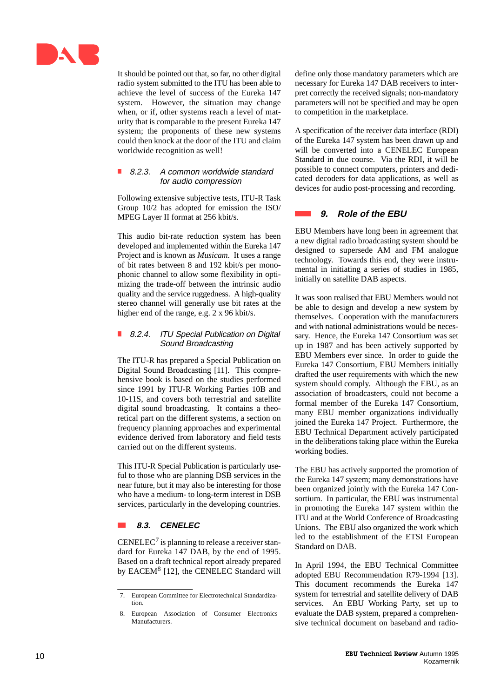

It should be pointed out that, so far, no other digital radio system submitted to the ITU has been able to achieve the level of success of the Eureka 147 system. However, the situation may change when, or if, other systems reach a level of maturity that is comparable to the present Eureka 147 system; the proponents of these new systems could then knock at the door of the ITU and claim worldwide recognition as well!

### 8.2.3. A common worldwide standard for audio compression

Following extensive subjective tests, ITU-R Task Group 10/2 has adopted for emission the ISO/ MPEG Layer II format at 256 kbit/s.

This audio bit-rate reduction system has been developed and implemented within the Eureka 147 Project and is known as *Musicam*. It uses a range of bit rates between 8 and 192 kbit/s per monophonic channel to allow some flexibility in optimizing the trade-off between the intrinsic audio quality and the service ruggedness. A high-quality stereo channel will generally use bit rates at the higher end of the range, e.g. 2 x 96 kbit/s.

### ■ 8.2.4. ITU Special Publication on Digital Sound Broadcasting

The ITU-R has prepared a Special Publication on Digital Sound Broadcasting [11]. This comprehensive book is based on the studies performed since 1991 by ITU-R Working Parties 10B and 10-11S, and covers both terrestrial and satellite digital sound broadcasting. It contains a theoretical part on the different systems, a section on frequency planning approaches and experimental evidence derived from laboratory and field tests carried out on the different systems.

This ITU-R Special Publication is particularly useful to those who are planning DSB services in the near future, but it may also be interesting for those who have a medium- to long-term interest in DSB services, particularly in the developing countries.

### **8.3. CENELEC**

 $CENELEC<sup>7</sup>$  is planning to release a receiver standard for Eureka 147 DAB, by the end of 1995. Based on a draft technical report already prepared by EACEM<sup>8</sup> [12], the CENELEC Standard will

define only those mandatory parameters which are necessary for Eureka 147 DAB receivers to interpret correctly the received signals; non-mandatory parameters will not be specified and may be open to competition in the marketplace.

A specification of the receiver data interface (RDI) of the Eureka 147 system has been drawn up and will be converted into a CENELEC European Standard in due course. Via the RDI, it will be possible to connect computers, printers and dedicated decoders for data applications, as well as devices for audio post-processing and recording.

### **9. Role of the EBU**

EBU Members have long been in agreement that a new digital radio broadcasting system should be designed to supersede AM and FM analogue technology. Towards this end, they were instrumental in initiating a series of studies in 1985, initially on satellite DAB aspects.

It was soon realised that EBU Members would not be able to design and develop a new system by themselves. Cooperation with the manufacturers and with national administrations would be necessary. Hence, the Eureka 147 Consortium was set up in 1987 and has been actively supported by EBU Members ever since. In order to guide the Eureka 147 Consortium, EBU Members initially drafted the user requirements with which the new system should comply. Although the EBU, as an association of broadcasters, could not become a formal member of the Eureka 147 Consortium, many EBU member organizations individually joined the Eureka 147 Project. Furthermore, the EBU Technical Department actively participated in the deliberations taking place within the Eureka working bodies.

The EBU has actively supported the promotion of the Eureka 147 system; many demonstrations have been organized jointly with the Eureka 147 Consortium. In particular, the EBU was instrumental in promoting the Eureka 147 system within the ITU and at the World Conference of Broadcasting Unions. The EBU also organized the work which led to the establishment of the ETSI European Standard on DAB.

In April 1994, the EBU Technical Committee adopted EBU Recommendation R79-1994 [13]. This document recommends the Eureka 147 system for terrestrial and satellite delivery of DAB services. An EBU Working Party, set up to evaluate the DAB system, prepared a comprehensive technical document on baseband and radio-

<sup>7.</sup> European Committee for Electrotechnical Standardization.

<sup>8.</sup> European Association of Consumer Electronics Manufacturers.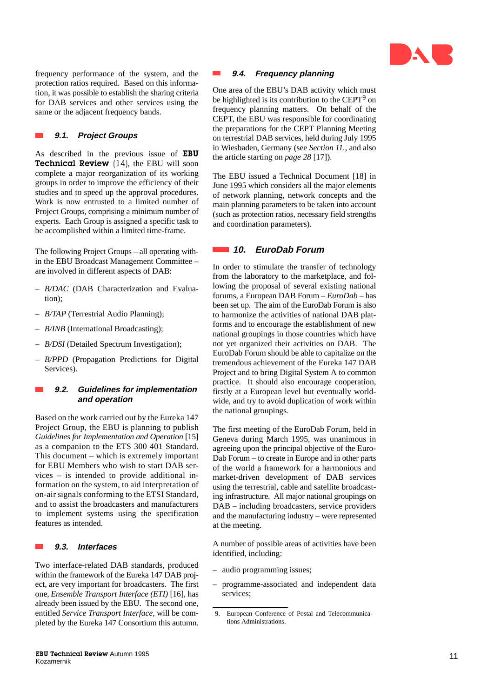

frequency performance of the system, and the protection ratios required. Based on this information, it was possible to establish the sharing criteria for DAB services and other services using the same or the adjacent frequency bands.

### **9.1. Project Groups**

As described in the previous issue of EBU Technical Review (14), the EBU will soon complete a major reorganization of its working groups in order to improve the efficiency of their studies and to speed up the approval procedures. Work is now entrusted to a limited number of Project Groups, comprising a minimum number of experts. Each Group is assigned a specific task to be accomplished within a limited time-frame.

The following Project Groups – all operating within the EBU Broadcast Management Committee – are involved in different aspects of DAB:

- *B/DAC* (DAB Characterization and Evaluation);
- *B/TAP* (Terrestrial Audio Planning);
- *B/INB* (International Broadcasting);
- *B/DSI* (Detailed Spectrum Investigation);
- *B/PPD* (Propagation Predictions for Digital Services).

### **9.2. Guidelines for implementation and operation**

Based on the work carried out by the Eureka 147 Project Group, the EBU is planning to publish *Guidelines for Implementation and Operation* [15] as a companion to the ETS 300 401 Standard. This document – which is extremely important for EBU Members who wish to start DAB services – is intended to provide additional information on the system, to aid interpretation of on-air signals conforming to the ETSI Standard, and to assist the broadcasters and manufacturers to implement systems using the specification features as intended.

### **9.3. Interfaces**

Two interface-related DAB standards, produced within the framework of the Eureka 147 DAB project, are very important for broadcasters. The first one, *Ensemble Transport Interface (ETI)* [16], has already been issued by the EBU. The second one, entitled *Service Transport Interface*, will be completed by the Eureka 147 Consortium this autumn.

#### **9.4. Frequency planning The State**

One area of the EBU's DAB activity which must be highlighted is its contribution to the CEPT<sup>9</sup> on frequency planning matters. On behalf of the CEPT, the EBU was responsible for coordinating the preparations for the CEPT Planning Meeting on terrestrial DAB services, held during July 1995 in Wiesbaden, Germany (see *Section 11.*, and also the article starting on *page 28* [17]).

The EBU issued a Technical Document [18] in June 1995 which considers all the major elements of network planning, network concepts and the main planning parameters to be taken into account (such as protection ratios, necessary field strengths and coordination parameters).

### **10. EuroDab Forum**

In order to stimulate the transfer of technology from the laboratory to the marketplace, and following the proposal of several existing national forums, a European DAB Forum – *EuroDab* – has been set up. The aim of the EuroDab Forum is also to harmonize the activities of national DAB platforms and to encourage the establishment of new national groupings in those countries which have not yet organized their activities on DAB. The EuroDab Forum should be able to capitalize on the tremendous achievement of the Eureka 147 DAB Project and to bring Digital System A to common practice. It should also encourage cooperation, firstly at a European level but eventually worldwide, and try to avoid duplication of work within the national groupings.

The first meeting of the EuroDab Forum, held in Geneva during March 1995, was unanimous in agreeing upon the principal objective of the Euro-Dab Forum – to create in Europe and in other parts of the world a framework for a harmonious and market-driven development of DAB services using the terrestrial, cable and satellite broadcasting infrastructure. All major national groupings on DAB – including broadcasters, service providers and the manufacturing industry – were represented at the meeting.

A number of possible areas of activities have been identified, including:

- audio programming issues;
- programme-associated and independent data services;

<sup>9.</sup> European Conference of Postal and Telecommunications Administrations.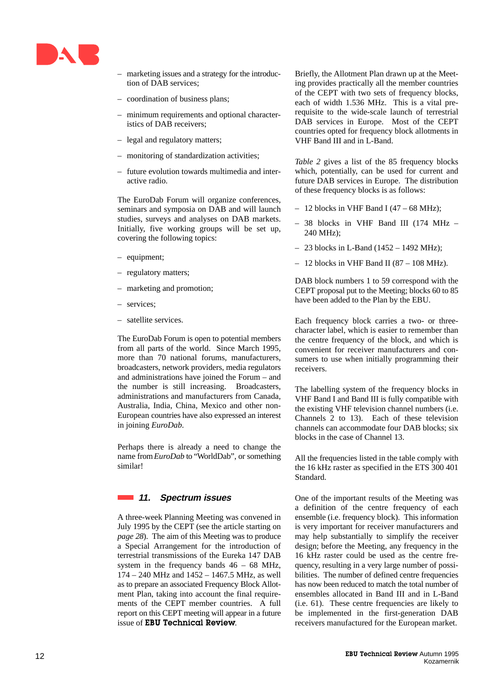

- marketing issues and a strategy for the introduction of DAB services;
- coordination of business plans;
- minimum requirements and optional characteristics of DAB receivers;
- legal and regulatory matters;
- monitoring of standardization activities;
- future evolution towards multimedia and interactive radio.

The EuroDab Forum will organize conferences, seminars and symposia on DAB and will launch studies, surveys and analyses on DAB markets. Initially, five working groups will be set up, covering the following topics:

- equipment;
- regulatory matters;
- marketing and promotion;
- services;
- satellite services.

The EuroDab Forum is open to potential members from all parts of the world. Since March 1995, more than 70 national forums, manufacturers, broadcasters, network providers, media regulators and administrations have joined the Forum – and the number is still increasing. Broadcasters, administrations and manufacturers from Canada, Australia, India, China, Mexico and other non-European countries have also expressed an interest in joining *EuroDab*.

Perhaps there is already a need to change the name from *EuroDab* to "WorldDab", or something similar!

### **11. Spectrum issues**

A three-week Planning Meeting was convened in July 1995 by the CEPT (see the article starting on *page 28*). The aim of this Meeting was to produce a Special Arrangement for the introduction of terrestrial transmissions of the Eureka 147 DAB system in the frequency bands 46 – 68 MHz, 174 – 240 MHz and 1452 – 1467.5 MHz, as well as to prepare an associated Frequency Block Allotment Plan, taking into account the final requirements of the CEPT member countries. A full report on this CEPT meeting will appear in a future issue of EBU Technical Review.

Briefly, the Allotment Plan drawn up at the Meeting provides practically all the member countries of the CEPT with two sets of frequency blocks, each of width 1.536 MHz. This is a vital prerequisite to the wide-scale launch of terrestrial DAB services in Europe. Most of the CEPT countries opted for frequency block allotments in VHF Band III and in L-Band.

*Table 2* gives a list of the 85 frequency blocks which, potentially, can be used for current and future DAB services in Europe. The distribution of these frequency blocks is as follows:

- $-12$  blocks in VHF Band I (47 68 MHz);
- 38 blocks in VHF Band III (174 MHz 240 MHz);
- $-$  23 blocks in L-Band (1452 1492 MHz);
- $-12$  blocks in VHF Band II (87 108 MHz).

DAB block numbers 1 to 59 correspond with the CEPT proposal put to the Meeting; blocks 60 to 85 have been added to the Plan by the EBU.

Each frequency block carries a two- or threecharacter label, which is easier to remember than the centre frequency of the block, and which is convenient for receiver manufacturers and consumers to use when initially programming their receivers.

The labelling system of the frequency blocks in VHF Band I and Band III is fully compatible with the existing VHF television channel numbers (i.e. Channels 2 to 13). Each of these television channels can accommodate four DAB blocks; six blocks in the case of Channel 13.

All the frequencies listed in the table comply with the 16 kHz raster as specified in the ETS 300 401 Standard.

One of the important results of the Meeting was a definition of the centre frequency of each ensemble (i.e. frequency block). This information is very important for receiver manufacturers and may help substantially to simplify the receiver design; before the Meeting, any frequency in the 16 kHz raster could be used as the centre frequency, resulting in a very large number of possibilities. The number of defined centre frequencies has now been reduced to match the total number of ensembles allocated in Band III and in L-Band (i.e. 61). These centre frequencies are likely to be implemented in the first-generation DAB receivers manufactured for the European market.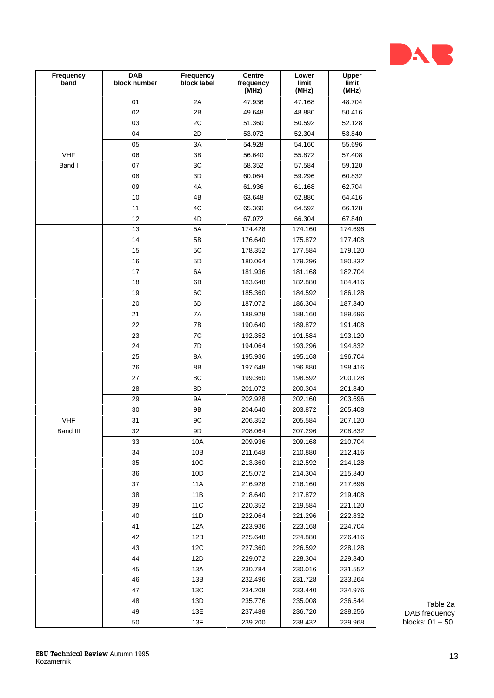

| Frequency<br>band | DAB<br>block number | Frequency<br>block label | Centre<br>frequency<br>(MHz) | Lower<br>limit<br>(MHz) | Upper<br>limit<br>(MHz) |                           |
|-------------------|---------------------|--------------------------|------------------------------|-------------------------|-------------------------|---------------------------|
|                   | 01                  | $2A$                     | 47.936                       | 47.168                  | 48.704                  |                           |
|                   | $02\,$              | $2\mathsf{B}$            | 49.648                       | 48.880                  | 50.416                  |                           |
|                   | 03                  | $2\mathrm{C}$            | 51.360                       | 50.592                  | 52.128                  |                           |
|                   | $04\,$              | $2\mathsf{D}$            | 53.072                       | 52.304                  | 53.840                  |                           |
|                   | 05                  | $3A$                     | 54.928                       | 54.160                  | 55.696                  |                           |
| <b>VHF</b>        | ${\bf 06}$          | $3\mathsf{B}$            | 56.640                       | 55.872                  | 57.408                  |                           |
| Band I            | $07\,$              | 3C                       | 58.352                       | 57.584                  | 59.120                  |                           |
|                   | ${\bf 08}$          | $3\mathsf{D}$            | 60.064                       | 59.296                  | 60.832                  |                           |
|                   | 09                  | $4\mathsf{A}$            | 61.936                       | 61.168                  | 62.704                  |                           |
|                   | $10$                | 4B                       | 63.648                       | 62.880                  | 64.416                  |                           |
|                   | 11                  | $4\mathrm{C}$            | 65.360                       | 64.592                  | 66.128                  |                           |
|                   | 12                  | 4D                       | 67.072                       | 66.304                  | 67.840                  |                           |
|                   | $13$                | $5A$                     | 174.428                      | 174.160                 | 174.696                 |                           |
|                   | 14                  | $5\mathsf{B}$            | 176.640                      | 175.872                 | 177.408                 |                           |
|                   | $15\,$              | $5\mathrm{C}$            | 178.352                      | 177.584                 | 179.120                 |                           |
|                   | 16                  | $5\mathsf{D}$            | 180.064                      | 179.296                 | 180.832                 |                           |
|                   | $17\,$              | 6A                       | 181.936                      | 181.168                 | 182.704                 |                           |
|                   | $18\,$              | 6B                       | 183.648                      | 182.880                 | 184.416                 |                           |
|                   | 19                  | 6C                       | 185.360                      | 184.592                 | 186.128                 |                           |
|                   | $20\,$              | 6D                       | 187.072                      | 186.304                 | 187.840                 |                           |
|                   | 21                  | 7A                       | 188.928                      | 188.160                 | 189.696                 |                           |
|                   | 22                  | $7\mathsf{B}$            | 190.640                      | 189.872                 | 191.408                 |                           |
|                   | 23                  | ${\mbox{7C}}$            | 192.352                      | 191.584                 | 193.120                 |                           |
|                   | 24                  | 7D                       | 194.064                      | 193.296                 | 194.832                 |                           |
|                   | $25\,$              | $8A$                     | 195.936                      | 195.168                 | 196.704                 |                           |
|                   | $26\,$              | 8B                       | 197.648                      | 196.880                 | 198.416                 |                           |
|                   | $27\,$              | 8C                       | 199.360                      | 198.592                 | 200.128                 |                           |
|                   | $28\,$              | 8D                       | 201.072                      | 200.304                 | 201.840                 |                           |
|                   | 29                  | <b>9A</b>                | 202.928                      | 202.160                 | 203.696                 |                           |
|                   | $30\,$              | 9B                       | 204.640                      | 203.872                 | 205.408                 |                           |
| <b>VHF</b>        | 31                  | $9\mathrm{C}$            | 206.352                      | 205.584                 | 207.120                 |                           |
| Band III          | $32\,$              | $9\mathsf{D}$            | 208.064                      | 207.296                 | 208.832                 |                           |
|                   | 33                  | 10A                      | 209.936                      | 209.168                 | 210.704                 |                           |
|                   | 34                  | 10B                      | 211.648                      | 210.880                 | 212.416                 |                           |
|                   | 35                  | 10C                      | 213.360                      | 212.592                 | 214.128                 |                           |
|                   | $36\,$              | 10D                      | 215.072                      | 214.304                 | 215.840                 |                           |
|                   | $37\,$              | <b>11A</b>               | 216.928                      | 216.160                 | 217.696                 |                           |
|                   | 38                  | 11B                      | 218.640                      | 217.872                 | 219.408                 |                           |
|                   | 39                  | 11C                      | 220.352                      | 219.584                 | 221.120                 |                           |
|                   | 40                  | 11D                      | 222.064                      | 221.296                 | 222.832                 |                           |
|                   | 41                  | 12A                      | 223.936                      | 223.168                 | 224.704                 |                           |
|                   | 42                  | 12B                      | 225.648                      | 224.880                 | 226.416                 |                           |
|                   | 43                  | 12C                      | 227.360                      | 226.592                 | 228.128                 |                           |
|                   | 44                  | 12D                      | 229.072                      | 228.304                 | 229.840                 |                           |
|                   | $45\,$              | 13A                      | 230.784                      | 230.016                 | 231.552                 |                           |
|                   | 46                  | 13B                      | 232.496                      | 231.728                 | 233.264                 |                           |
|                   | 47                  | 13C                      | 234.208                      | 233.440                 | 234.976                 |                           |
|                   | 48                  | 13D                      | 235.776                      | 235.008                 | 236.544                 |                           |
|                   | 49                  | 13E                      | 237.488                      | 236.720                 | 238.256                 | Table 2a<br>DAB frequency |
|                   | $50\,$              | 13F                      | 239.200                      | 238.432                 | 239.968                 | blocks: $01 - 50$ .       |
|                   |                     |                          |                              |                         |                         |                           |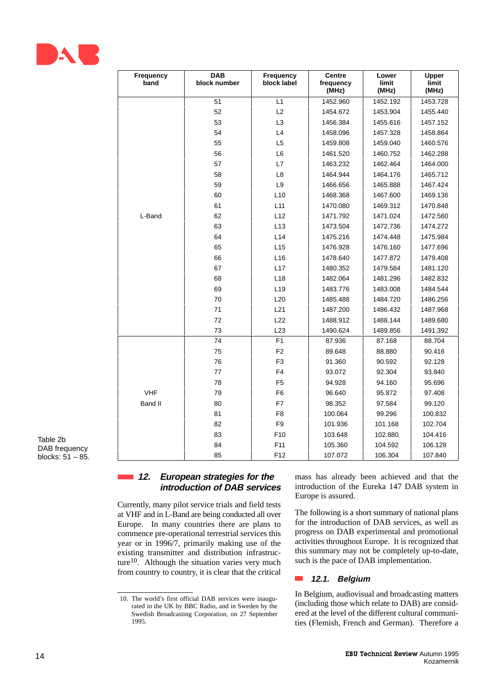

| Frequency<br>band | <b>DAB</b><br>block number | Frequency<br>block label | <b>Centre</b><br>frequency<br>(MHz) | Lower<br>limit<br>(MHz) | Upper<br>limit<br>(MHz) |
|-------------------|----------------------------|--------------------------|-------------------------------------|-------------------------|-------------------------|
|                   | 51                         | L1                       | 1452.960                            | 1452.192                | 1453.728                |
|                   | 52                         | L2                       | 1454.672                            | 1453.904                | 1455.440                |
|                   | 53                         | L <sub>3</sub>           | 1456.384                            | 1455.616                | 1457.152                |
|                   | 54                         | L4                       | 1458.096                            | 1457.328                | 1458.864                |
|                   | 55                         | L5                       | 1459.808                            | 1459.040                | 1460.576                |
|                   | 56                         | L6                       | 1461.520                            | 1460.752                | 1462.288                |
|                   | 57                         | L7                       | 1463.232                            | 1462.464                | 1464.000                |
|                   | 58                         | L8                       | 1464.944                            | 1464.176                | 1465.712                |
|                   | 59                         | L9                       | 1466.656                            | 1465.888                | 1467.424                |
|                   | 60                         | L10                      | 1468.368                            | 1467.600                | 1469.136                |
|                   | 61                         | L11                      | 1470.080                            | 1469.312                | 1470.848                |
| L-Band            | 62                         | L12                      | 1471.792                            | 1471.024                | 1472.560                |
|                   | 63                         | L13                      | 1473.504                            | 1472.736                | 1474.272                |
|                   | 64                         | L14                      | 1475.216                            | 1474.448                | 1475.984                |
|                   | 65                         | L15                      | 1476.928                            | 1476.160                | 1477.696                |
|                   | 66                         | L16                      | 1478.640                            | 1477.872                | 1479.408                |
|                   | 67                         | L17                      | 1480.352                            | 1479.584                | 1481.120                |
|                   | 68                         | L18                      | 1482.064                            | 1481.296                | 1482.832                |
|                   | 69                         | L19                      | 1483.776                            | 1483.008                | 1484.544                |
|                   | 70                         | L20                      | 1485.488                            | 1484.720                | 1486.256                |
|                   | 71                         | L21                      | 1487.200                            | 1486.432                | 1487.968                |
|                   | 72                         | L22                      | 1488.912                            | 1488.144                | 1489.680                |
|                   | 73                         | L23                      | 1490.624                            | 1489.856                | 1491.392                |
|                   | 74                         | F1                       | 87.936                              | 87.168                  | 88.704                  |
|                   | 75                         | F <sub>2</sub>           | 89.648                              | 88.880                  | 90.416                  |
|                   | 76                         | F <sub>3</sub>           | 91.360                              | 90.592                  | 92.128                  |
|                   | 77                         | ${\sf F4}$               | 93.072                              | 92.304                  | 93.840                  |
|                   | 78                         | F <sub>5</sub>           | 94.928                              | 94.160                  | 95.696                  |
| <b>VHF</b>        | 79                         | F <sub>6</sub>           | 96.640                              | 95.872                  | 97.408                  |
| <b>Band II</b>    | 80                         | F7                       | 98.352                              | 97.584                  | 99.120                  |
|                   | 81                         | F <sub>8</sub>           | 100.064                             | 99.296                  | 100.832                 |
|                   | 82                         | F9                       | 101.936                             | 101.168                 | 102.704                 |
|                   | 83                         | F10                      | 103.648                             | 102.880                 | 104.416                 |
|                   | 84                         | F11                      | 105.360                             | 104.592                 | 106.128                 |
|                   | 85                         | F12                      | 107.072                             | 106.304                 | 107.840                 |

Table 2b DAB frequency blocks: 51 – 85.

### **12. European strategies for the introduction of DAB services**

Currently, many pilot service trials and field tests at VHF and in L-Band are being conducted all over Europe. In many countries there are plans to commence pre-operational terrestrial services this year or in 1996/7, primarily making use of the existing transmitter and distribution infrastructure<sup>10</sup>. Although the situation varies very much from country to country, it is clear that the critical

mass has already been achieved and that the introduction of the Eureka 147 DAB system in Europe is assured.

The following is a short summary of national plans for the introduction of DAB services, as well as progress on DAB experimental and promotional activities throughout Europe. It is recognized that this summary may not be completely up-to-date, such is the pace of DAB implementation.

### **12.1. Belgium**

In Belgium, audiovisual and broadcasting matters (including those which relate to DAB) are considered at the level of the different cultural communities (Flemish, French and German). Therefore a

<sup>10.</sup> The world's first official DAB services were inaugurated in the UK by BBC Radio, and in Sweden by the Swedish Broadcasting Corporation, on 27 September 1995.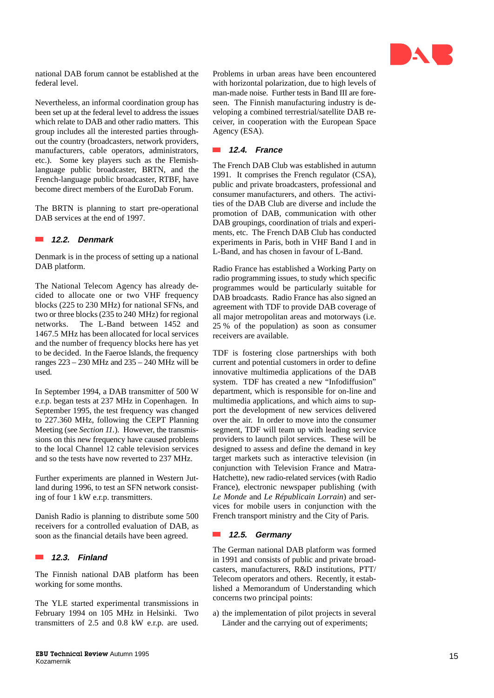

national DAB forum cannot be established at the federal level.

Nevertheless, an informal coordination group has been set up at the federal level to address the issues which relate to DAB and other radio matters. This group includes all the interested parties throughout the country (broadcasters, network providers, manufacturers, cable operators, administrators, etc.). Some key players such as the Flemishlanguage public broadcaster, BRTN, and the French-language public broadcaster, RTBF, have become direct members of the EuroDab Forum.

The BRTN is planning to start pre-operational DAB services at the end of 1997.

### **12.2. Denmark**

Denmark is in the process of setting up a national DAB platform.

The National Telecom Agency has already decided to allocate one or two VHF frequency blocks (225 to 230 MHz) for national SFNs, and two or three blocks (235 to 240 MHz) for regional networks. The L-Band between 1452 and 1467.5 MHz has been allocated for local services and the number of frequency blocks here has yet to be decided. In the Faeroe Islands, the frequency ranges 223 – 230 MHz and 235 – 240 MHz will be used.

In September 1994, a DAB transmitter of 500 W e.r.p. began tests at 237 MHz in Copenhagen. In September 1995, the test frequency was changed to 227.360 MHz, following the CEPT Planning Meeting (see *Section 11.*). However, the transmissions on this new frequency have caused problems to the local Channel 12 cable television services and so the tests have now reverted to 237 MHz.

Further experiments are planned in Western Jutland during 1996, to test an SFN network consisting of four 1 kW e.r.p. transmitters.

Danish Radio is planning to distribute some 500 receivers for a controlled evaluation of DAB, as soon as the financial details have been agreed.

### $\overline{\phantom{a}}$ **12.3. Finland**

The Finnish national DAB platform has been working for some months.

The YLE started experimental transmissions in February 1994 on 105 MHz in Helsinki. Two transmitters of 2.5 and 0.8 kW e.r.p. are used. Problems in urban areas have been encountered with horizontal polarization, due to high levels of man-made noise. Further tests in Band III are foreseen. The Finnish manufacturing industry is developing a combined terrestrial/satellite DAB receiver, in cooperation with the European Space Agency (ESA).

### **12.4. France**

The French DAB Club was established in autumn 1991. It comprises the French regulator (CSA), public and private broadcasters, professional and consumer manufacturers, and others. The activities of the DAB Club are diverse and include the promotion of DAB, communication with other DAB groupings, coordination of trials and experiments, etc. The French DAB Club has conducted experiments in Paris, both in VHF Band I and in L-Band, and has chosen in favour of L-Band.

Radio France has established a Working Party on radio programming issues, to study which specific programmes would be particularly suitable for DAB broadcasts. Radio France has also signed an agreement with TDF to provide DAB coverage of all major metropolitan areas and motorways (i.e. 25 % of the population) as soon as consumer receivers are available.

TDF is fostering close partnerships with both current and potential customers in order to define innovative multimedia applications of the DAB system. TDF has created a new "Infodiffusion" department, which is responsible for on-line and multimedia applications, and which aims to support the development of new services delivered over the air. In order to move into the consumer segment, TDF will team up with leading service providers to launch pilot services. These will be designed to assess and define the demand in key target markets such as interactive television (in conjunction with Television France and Matra-Hatchette), new radio-related services (with Radio France), electronic newspaper publishing (with *Le Monde* and *Le Républicain Lorrain*) and services for mobile users in conjunction with the French transport ministry and the City of Paris.

### **12.5. Germany**

The German national DAB platform was formed in 1991 and consists of public and private broadcasters, manufacturers, R&D institutions, PTT/ Telecom operators and others. Recently, it established a Memorandum of Understanding which concerns two principal points:

a) the implementation of pilot projects in several Länder and the carrying out of experiments;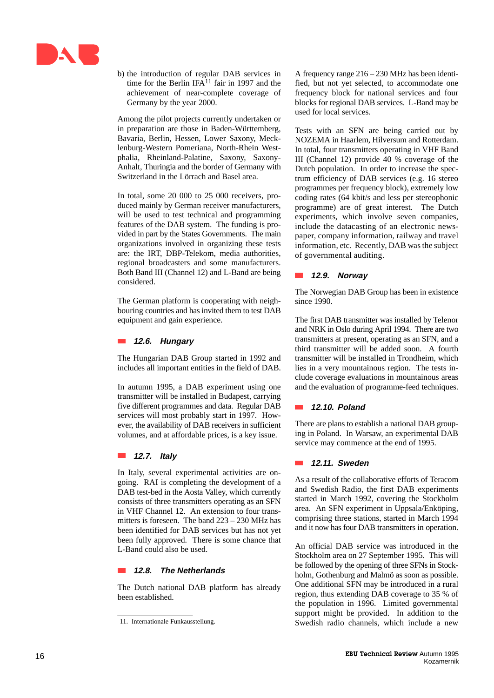

b) the introduction of regular DAB services in time for the Berlin IFA<sup>11</sup> fair in 1997 and the achievement of near-complete coverage of Germany by the year 2000.

Among the pilot projects currently undertaken or in preparation are those in Baden-Württemberg, Bavaria, Berlin, Hessen, Lower Saxony, Mecklenburg-Western Pomeriana, North-Rhein Westphalia, Rheinland-Palatine, Saxony, Saxony-Anhalt, Thuringia and the border of Germany with Switzerland in the Lörrach and Basel area.

In total, some 20 000 to 25 000 receivers, produced mainly by German receiver manufacturers, will be used to test technical and programming features of the DAB system. The funding is provided in part by the States Governments. The main organizations involved in organizing these tests are: the IRT, DBP-Telekom, media authorities, regional broadcasters and some manufacturers. Both Band III (Channel 12) and L-Band are being considered.

The German platform is cooperating with neighbouring countries and has invited them to test DAB equipment and gain experience.

### **12.6. Hungary**

The Hungarian DAB Group started in 1992 and includes all important entities in the field of DAB.

In autumn 1995, a DAB experiment using one transmitter will be installed in Budapest, carrying five different programmes and data. Regular DAB services will most probably start in 1997. However, the availability of DAB receivers in sufficient volumes, and at affordable prices, is a key issue.

### **12.7. Italy**

In Italy, several experimental activities are ongoing. RAI is completing the development of a DAB test-bed in the Aosta Valley, which currently consists of three transmitters operating as an SFN in VHF Channel 12. An extension to four transmitters is foreseen. The band 223 – 230 MHz has been identified for DAB services but has not yet been fully approved. There is some chance that L-Band could also be used.

### **12.8. The Netherlands**

The Dutch national DAB platform has already been established.

A frequency range 216 – 230 MHz has been identified, but not yet selected, to accommodate one frequency block for national services and four blocks for regional DAB services. L-Band may be used for local services.

Tests with an SFN are being carried out by NOZEMA in Haarlem, Hilversum and Rotterdam. In total, four transmitters operating in VHF Band III (Channel 12) provide 40 % coverage of the Dutch population. In order to increase the spectrum efficiency of DAB services (e.g. 16 stereo programmes per frequency block), extremely low coding rates (64 kbit/s and less per stereophonic programme) are of great interest. The Dutch experiments, which involve seven companies, include the datacasting of an electronic newspaper, company information, railway and travel information, etc. Recently, DAB was the subject of governmental auditing.

### **12.9. Norway**

The Norwegian DAB Group has been in existence since 1990.

The first DAB transmitter was installed by Telenor and NRK in Oslo during April 1994. There are two transmitters at present, operating as an SFN, and a third transmitter will be added soon. A fourth transmitter will be installed in Trondheim, which lies in a very mountainous region. The tests include coverage evaluations in mountainous areas and the evaluation of programme-feed techniques.

### **12.10. Poland**

There are plans to establish a national DAB grouping in Poland. In Warsaw, an experimental DAB service may commence at the end of 1995.

### **12.11. Sweden**

As a result of the collaborative efforts of Teracom and Swedish Radio, the first DAB experiments started in March 1992, covering the Stockholm area. An SFN experiment in Uppsala/Enköping, comprising three stations, started in March 1994 and it now has four DAB transmitters in operation.

An official DAB service was introduced in the Stockholm area on 27 September 1995. This will be followed by the opening of three SFNs in Stockholm, Gothenburg and Malmö as soon as possible. One additional SFN may be introduced in a rural region, thus extending DAB coverage to 35 % of the population in 1996. Limited governmental support might be provided. In addition to the Swedish radio channels, which include a new

<sup>11.</sup> Internationale Funkausstellung.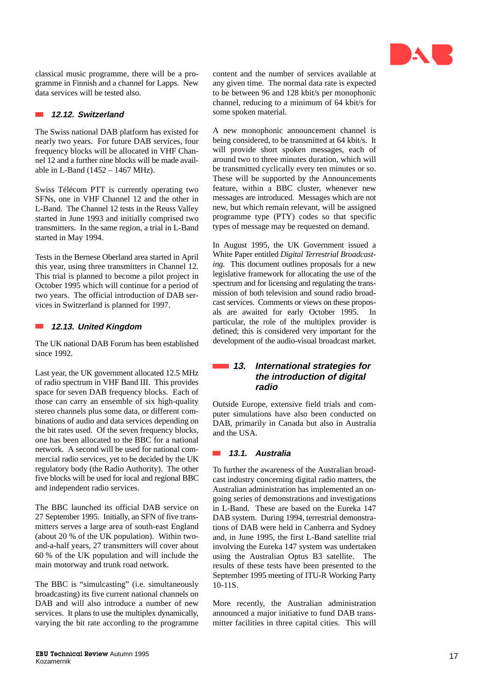

classical music programme, there will be a programme in Finnish and a channel for Lapps. New data services will be tested also.

### **12.12. Switzerland**

The Swiss national DAB platform has existed for nearly two years. For future DAB services, four frequency blocks will be allocated in VHF Channel 12 and a further nine blocks will be made available in L-Band (1452 – 1467 MHz).

Swiss Télécom PTT is currently operating two SFNs, one in VHF Channel 12 and the other in L-Band. The Channel 12 tests in the Reuss Valley started in June 1993 and initially comprised two transmitters. In the same region, a trial in L-Band started in May 1994.

Tests in the Bernese Oberland area started in April this year, using three transmitters in Channel 12. This trial is planned to become a pilot project in October 1995 which will continue for a period of two years. The official introduction of DAB services in Switzerland is planned for 1997.

#### **12.13. United Kingdom**  $\mathcal{L}^{\text{max}}$

The UK national DAB Forum has been established since 1992.

Last year, the UK government allocated 12.5 MHz of radio spectrum in VHF Band III. This provides space for seven DAB frequency blocks. Each of those can carry an ensemble of six high-quality stereo channels plus some data, or different combinations of audio and data services depending on the bit rates used. Of the seven frequency blocks, one has been allocated to the BBC for a national network. A second will be used for national commercial radio services, yet to be decided by the UK regulatory body (the Radio Authority). The other five blocks will be used for local and regional BBC and independent radio services.

The BBC launched its official DAB service on 27 September 1995. Initially, an SFN of five transmitters serves a large area of south-east England (about 20 % of the UK population). Within twoand-a-half years, 27 transmitters will cover about 60 % of the UK population and will include the main motorway and trunk road network.

The BBC is "simulcasting" (i.e. simultaneously broadcasting) its five current national channels on DAB and will also introduce a number of new services. It plans to use the multiplex dynamically, varying the bit rate according to the programme content and the number of services available at any given time. The normal data rate is expected to be between 96 and 128 kbit/s per monophonic channel, reducing to a minimum of 64 kbit/s for some spoken material.

A new monophonic announcement channel is being considered, to be transmitted at 64 kbit/s. It will provide short spoken messages, each of around two to three minutes duration, which will be transmitted cyclically every ten minutes or so. These will be supported by the Announcements feature, within a BBC cluster, whenever new messages are introduced. Messages which are not new, but which remain relevant, will be assigned programme type (PTY) codes so that specific types of message may be requested on demand.

In August 1995, the UK Government issued a White Paper entitled *Digital Terrestrial Broadcasting.* This document outlines proposals for a new legislative framework for allocating the use of the spectrum and for licensing and regulating the transmission of both television and sound radio broadcast services. Comments or views on these proposals are awaited for early October 1995. In particular, the role of the multiplex provider is defined; this is considered very important for the development of the audio-visual broadcast market.

### **13. International strategies for the introduction of digital radio**

Outside Europe, extensive field trials and computer simulations have also been conducted on DAB, primarily in Canada but also in Australia and the USA.

### **13.1. Australia**

To further the awareness of the Australian broadcast industry concerning digital radio matters, the Australian administration has implemented an ongoing series of demonstrations and investigations in L-Band. These are based on the Eureka 147 DAB system. During 1994, terrestrial demonstrations of DAB were held in Canberra and Sydney and, in June 1995, the first L-Band satellite trial involving the Eureka 147 system was undertaken using the Australian Optus B3 satellite. The results of these tests have been presented to the September 1995 meeting of ITU-R Working Party 10-11S.

More recently, the Australian administration announced a major initiative to fund DAB transmitter facilities in three capital cities. This will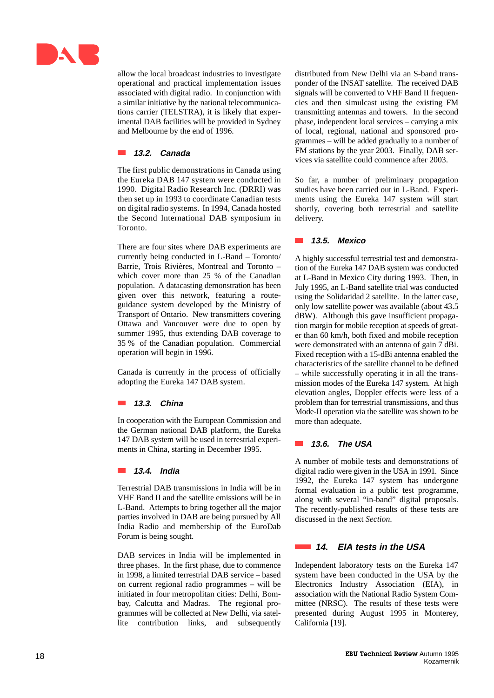

allow the local broadcast industries to investigate operational and practical implementation issues associated with digital radio. In conjunction with a similar initiative by the national telecommunications carrier (TELSTRA), it is likely that experimental DAB facilities will be provided in Sydney and Melbourne by the end of 1996.

### **13.2. Canada**

The first public demonstrations in Canada using the Eureka DAB 147 system were conducted in 1990. Digital Radio Research Inc. (DRRI) was then set up in 1993 to coordinate Canadian tests on digital radio systems. In 1994, Canada hosted the Second International DAB symposium in Toronto.

There are four sites where DAB experiments are currently being conducted in L-Band – Toronto/ Barrie, Trois Rivières, Montreal and Toronto – which cover more than 25 % of the Canadian population. A datacasting demonstration has been given over this network, featuring a routeguidance system developed by the Ministry of Transport of Ontario. New transmitters covering Ottawa and Vancouver were due to open by summer 1995, thus extending DAB coverage to 35 % of the Canadian population. Commercial operation will begin in 1996.

Canada is currently in the process of officially adopting the Eureka 147 DAB system.

### **13.3. China**

In cooperation with the European Commission and the German national DAB platform, the Eureka 147 DAB system will be used in terrestrial experiments in China, starting in December 1995.

### **13.4. India**

Terrestrial DAB transmissions in India will be in VHF Band II and the satellite emissions will be in L-Band. Attempts to bring together all the major parties involved in DAB are being pursued by All India Radio and membership of the EuroDab Forum is being sought.

DAB services in India will be implemented in three phases. In the first phase, due to commence in 1998, a limited terrestrial DAB service – based on current regional radio programmes – will be initiated in four metropolitan cities: Delhi, Bombay, Calcutta and Madras. The regional programmes will be collected at New Delhi, via satellite contribution links, and subsequently distributed from New Delhi via an S-band transponder of the INSAT satellite. The received DAB signals will be converted to VHF Band II frequencies and then simulcast using the existing FM transmitting antennas and towers. In the second phase, independent local services – carrying a mix of local, regional, national and sponsored programmes – will be added gradually to a number of FM stations by the year 2003. Finally, DAB services via satellite could commence after 2003.

So far, a number of preliminary propagation studies have been carried out in L-Band. Experiments using the Eureka 147 system will start shortly, covering both terrestrial and satellite delivery.

### **13.5. Mexico**

A highly successful terrestrial test and demonstration of the Eureka 147 DAB system was conducted at L-Band in Mexico City during 1993. Then, in July 1995, an L-Band satellite trial was conducted using the Solidaridad 2 satellite. In the latter case, only low satellite power was available (about 43.5 dBW). Although this gave insufficient propagation margin for mobile reception at speeds of greater than 60 km/h, both fixed and mobile reception were demonstrated with an antenna of gain 7 dBi. Fixed reception with a 15-dBi antenna enabled the characteristics of the satellite channel to be defined – while successfully operating it in all the transmission modes of the Eureka 147 system. At high elevation angles, Doppler effects were less of a problem than for terrestrial transmissions, and thus Mode-II operation via the satellite was shown to be more than adequate.

### **13.6. The USA**

A number of mobile tests and demonstrations of digital radio were given in the USA in 1991. Since 1992, the Eureka 147 system has undergone formal evaluation in a public test programme, along with several "in-band" digital proposals. The recently-published results of these tests are discussed in the next *Section*.

### **14. EIA tests in the USA**

Independent laboratory tests on the Eureka 147 system have been conducted in the USA by the Electronics Industry Association (EIA), in association with the National Radio System Committee (NRSC). The results of these tests were presented during August 1995 in Monterey, California [19].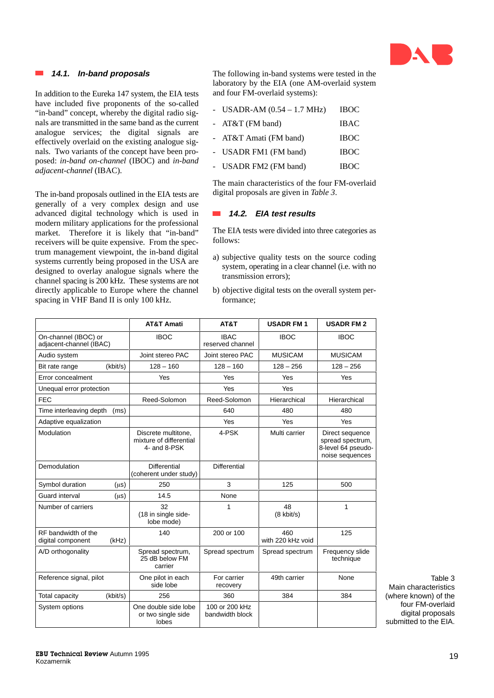

### **14.1. In-band proposals**

In addition to the Eureka 147 system, the EIA tests have included five proponents of the so-called "in-band" concept, whereby the digital radio signals are transmitted in the same band as the current analogue services; the digital signals are effectively overlaid on the existing analogue signals. Two variants of the concept have been proposed: *in-band on-channel* (IBOC) and *in-band adjacent-channel* (IBAC).

The in-band proposals outlined in the EIA tests are generally of a very complex design and use advanced digital technology which is used in modern military applications for the professional market. Therefore it is likely that "in-band" receivers will be quite expensive. From the spectrum management viewpoint, the in-band digital systems currently being proposed in the USA are designed to overlay analogue signals where the channel spacing is 200 kHz. These systems are not directly applicable to Europe where the channel spacing in VHF Band II is only 100 kHz.

The following in-band systems were tested in the laboratory by the EIA (one AM-overlaid system and four FM-overlaid systems):

| - USADR-AM $(0.54 - 1.7 \text{ MHz})$ | <b>IBOC</b> |
|---------------------------------------|-------------|
| - AT&T (FM band)                      | <b>IBAC</b> |
| - AT&T Amati (FM band)                | <b>IBOC</b> |
| - USADR FM1 (FM band)                 | <b>IBOC</b> |
| - USADR FM2 (FM band)                 | <b>IBOC</b> |

The main characteristics of the four FM-overlaid digital proposals are given in *Table 3*.

### **14.2. EIA test results**

The EIA tests were divided into three categories as follows:

- a) subjective quality tests on the source coding system, operating in a clear channel (i.e. with no transmission errors);
- b) objective digital tests on the overall system performance;

|                                                 |           | <b>AT&amp;T Amati</b>                                          | AT&T                              | <b>USADR FM1</b>           | <b>USADR FM2</b>                                                             |                                                                |
|-------------------------------------------------|-----------|----------------------------------------------------------------|-----------------------------------|----------------------------|------------------------------------------------------------------------------|----------------------------------------------------------------|
| On-channel (IBOC) or<br>adjacent-channel (IBAC) |           | <b>IBOC</b>                                                    | <b>IBAC</b><br>reserved channel   | <b>IBOC</b>                | <b>IBOC</b>                                                                  |                                                                |
| Audio system                                    |           | Joint stereo PAC                                               | Joint stereo PAC                  | <b>MUSICAM</b>             | <b>MUSICAM</b>                                                               |                                                                |
| Bit rate range                                  | (kbit/s)  | $128 - 160$                                                    | $128 - 160$                       | $128 - 256$                | $128 - 256$                                                                  |                                                                |
| Error concealment                               |           | Yes                                                            | Yes                               | Yes                        | Yes                                                                          |                                                                |
| Unequal error protection                        |           |                                                                | Yes                               | Yes                        |                                                                              |                                                                |
| <b>FEC</b>                                      |           | Reed-Solomon                                                   | Reed-Solomon                      | Hierarchical               | Hierarchical                                                                 |                                                                |
| Time interleaving depth                         | (ms)      |                                                                | 640                               | 480                        | 480                                                                          |                                                                |
| Adaptive equalization                           |           |                                                                | Yes                               | Yes                        | Yes                                                                          |                                                                |
| Modulation                                      |           | Discrete multitone,<br>mixture of differential<br>4- and 8-PSK | 4-PSK                             | Multi carrier              | Direct sequence<br>spread spectrum,<br>8-level 64 pseudo-<br>noise sequences |                                                                |
| Demodulation                                    |           | <b>Differential</b><br>(coherent under study)                  | Differential                      |                            |                                                                              |                                                                |
| Symbol duration                                 | $(\mu s)$ | 250                                                            | 3                                 | 125                        | 500                                                                          |                                                                |
| Guard interval                                  | $(\mu s)$ | 14.5                                                           | None                              |                            |                                                                              |                                                                |
| Number of carriers                              |           | 32<br>(18 in single side-<br>lobe mode)                        | $\overline{1}$                    | 48<br>$(8 \text{ kbit/s})$ | $\mathbf{1}$                                                                 |                                                                |
| RF bandwidth of the<br>digital component        | (kHz)     | 140                                                            | 200 or 100                        | 460<br>with 220 kHz void   | 125                                                                          |                                                                |
| A/D orthogonality                               |           | Spread spectrum,<br>25 dB below FM<br>carrier                  | Spread spectrum                   | Spread spectrum            | Frequency slide<br>technique                                                 |                                                                |
| Reference signal, pilot                         |           | One pilot in each<br>side lobe                                 | For carrier<br>recovery           | 49th carrier               | None                                                                         | Table 3<br>Main characteristics                                |
| Total capacity                                  | (kbit/s)  | 256                                                            | 360                               | 384                        | 384                                                                          | (where known) of the                                           |
| System options                                  |           | One double side lobe<br>or two single side<br>lobes            | 100 or 200 kHz<br>bandwidth block |                            |                                                                              | four FM-overlaid<br>digital proposals<br>submitted to the EIA. |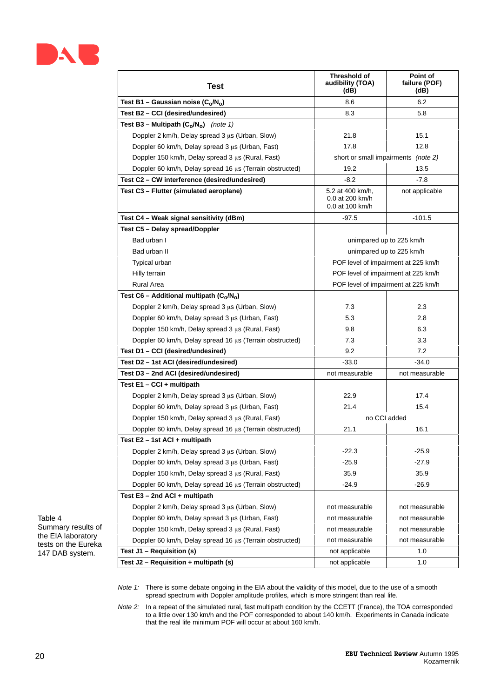

| Test                                                     | Threshold of<br>audibility (TOA)<br>(dB)               | Point of<br>failure (POF)<br>(dB)   |  |
|----------------------------------------------------------|--------------------------------------------------------|-------------------------------------|--|
| Test B1 - Gaussian noise $(C_0/N_0)$                     | 8.6                                                    | 6.2                                 |  |
| Test B2 - CCI (desired/undesired)                        | 8.3                                                    | 5.8                                 |  |
| Test B3 – Multipath $(C_0/N_0)$ (note 1)                 |                                                        |                                     |  |
| Doppler 2 km/h, Delay spread 3 µs (Urban, Slow)          | 21.8                                                   | 15.1                                |  |
| Doppler 60 km/h, Delay spread 3 µs (Urban, Fast)         | 17.8                                                   | 12.8                                |  |
| Doppler 150 km/h, Delay spread 3 µs (Rural, Fast)        |                                                        | short or small impairments (note 2) |  |
| Doppler 60 km/h, Delay spread 16 µs (Terrain obstructed) | 19.2                                                   | 13.5                                |  |
| Test C2 - CW interference (desired/undesired)            | $-8.2$                                                 | $-7.8$                              |  |
| Test C3 - Flutter (simulated aeroplane)                  | 5.2 at 400 km/h,<br>0.0 at 200 km/h<br>0.0 at 100 km/h | not applicable                      |  |
| Test C4 - Weak signal sensitivity (dBm)                  | $-97.5$                                                | $-101.5$                            |  |
| Test C5 - Delay spread/Doppler                           |                                                        |                                     |  |
| Bad urban I                                              |                                                        | unimpared up to 225 km/h            |  |
| Bad urban II                                             |                                                        | unimpared up to 225 km/h            |  |
| Typical urban                                            |                                                        | POF level of impairment at 225 km/h |  |
| Hilly terrain                                            |                                                        | POF level of impairment at 225 km/h |  |
| <b>Rural Area</b>                                        | POF level of impairment at 225 km/h                    |                                     |  |
| Test C6 - Additional multipath $(C_0/N_0)$               |                                                        |                                     |  |
| Doppler 2 km/h, Delay spread 3 µs (Urban, Slow)          | 7.3                                                    | 2.3                                 |  |
| Doppler 60 km/h, Delay spread 3 µs (Urban, Fast)         | 5.3                                                    | 2.8                                 |  |
| Doppler 150 km/h, Delay spread 3 µs (Rural, Fast)        | 9.8                                                    | 6.3                                 |  |
| Doppler 60 km/h, Delay spread 16 µs (Terrain obstructed) | 7.3                                                    | 3.3                                 |  |
| Test D1 - CCI (desired/undesired)                        | 9.2                                                    | 7.2                                 |  |
| Test D2 - 1st ACI (desired/undesired)                    | $-33.0$                                                | $-34.0$                             |  |
| Test D3 - 2nd ACI (desired/undesired)                    | not measurable                                         | not measurable                      |  |
| Test $E1 - CCI + multipath$                              |                                                        |                                     |  |
| Doppler 2 km/h, Delay spread 3 µs (Urban, Slow)          | 22.9                                                   | 17.4                                |  |
| Doppler 60 km/h, Delay spread 3 µs (Urban, Fast)         | 21.4                                                   | 15.4                                |  |
|                                                          |                                                        | no CCI added                        |  |
| Doppler 150 km/h, Delay spread 3 µs (Rural, Fast)        | 21.1                                                   | 16.1                                |  |
| Doppler 60 km/h, Delay spread 16 µs (Terrain obstructed) |                                                        |                                     |  |
| Test E2 - 1st ACI + multipath                            |                                                        |                                     |  |
| Doppler 2 km/h, Delay spread $3 \mu s$ (Urban, Slow)     | $-22.3$                                                | $-25.9$                             |  |
| Doppler 60 km/h, Delay spread 3 µs (Urban, Fast)         | $-25.9$                                                | $-27.9$                             |  |
| Doppler 150 km/h, Delay spread 3 us (Rural, Fast)        | 35.9                                                   | 35.9                                |  |
| Doppler 60 km/h, Delay spread 16 µs (Terrain obstructed) | $-24.9$                                                | $-26.9$                             |  |
| Test E3 - 2nd ACI + multipath                            |                                                        |                                     |  |
| Doppler 2 km/h, Delay spread 3 µs (Urban, Slow)          | not measurable                                         | not measurable                      |  |
| Doppler 60 km/h, Delay spread 3 µs (Urban, Fast)         | not measurable                                         | not measurable                      |  |
| Doppler 150 km/h, Delay spread 3 µs (Rural, Fast)        | not measurable                                         | not measurable                      |  |
| Doppler 60 km/h, Delay spread 16 µs (Terrain obstructed) | not measurable                                         | not measurable                      |  |
| Test J1 - Requisition (s)                                | not applicable                                         | 1.0                                 |  |
| Test J2 - Requisition + multipath (s)                    | not applicable                                         | 1.0                                 |  |

Table 4 Summary results of the EIA laboratory tests on the Eureka 147 DAB system.

> Note 1: There is some debate ongoing in the EIA about the validity of this model, due to the use of a smooth spread spectrum with Doppler amplitude profiles, which is more stringent than real life.

Note 2: In a repeat of the simulated rural, fast multipath condition by the CCETT (France), the TOA corresponded to a little over 130 km/h and the POF corresponded to about 140 km/h. Experiments in Canada indicate that the real life minimum POF will occur at about 160 km/h.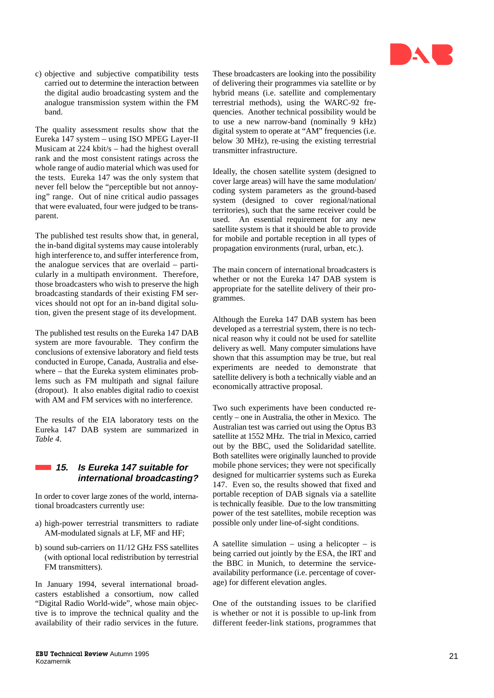

c) objective and subjective compatibility tests carried out to determine the interaction between the digital audio broadcasting system and the analogue transmission system within the FM band.

The quality assessment results show that the Eureka 147 system – using ISO MPEG Layer-II Musicam at 224 kbit/s – had the highest overall rank and the most consistent ratings across the whole range of audio material which was used for the tests. Eureka 147 was the only system that never fell below the "perceptible but not annoying" range. Out of nine critical audio passages that were evaluated, four were judged to be transparent.

The published test results show that, in general, the in-band digital systems may cause intolerably high interference to, and suffer interference from, the analogue services that are overlaid – particularly in a multipath environment. Therefore, those broadcasters who wish to preserve the high broadcasting standards of their existing FM services should not opt for an in-band digital solution, given the present stage of its development.

The published test results on the Eureka 147 DAB system are more favourable. They confirm the conclusions of extensive laboratory and field tests conducted in Europe, Canada, Australia and elsewhere – that the Eureka system eliminates problems such as FM multipath and signal failure (dropout). It also enables digital radio to coexist with AM and FM services with no interference.

The results of the EIA laboratory tests on the Eureka 147 DAB system are summarized in *Table 4* .

## **15. Is Eureka 147 suitable for international broadcasting?**

In order to cover large zones of the world, international broadcasters currently use:

- a) high-power terrestrial transmitters to radiate AM-modulated signals at LF, MF and HF;
- b) sound sub-carriers on 11/12 GHz FSS satellites (with optional local redistribution by terrestrial FM transmitters).

In January 1994, several international broadcasters established a consortium, now called "Digital Radio World-wide", whose main objective is to improve the technical quality and the availability of their radio services in the future. These broadcasters are looking into the possibility of delivering their programmes via satellite or by hybrid means (i.e. satellite and complementary terrestrial methods), using the WARC-92 frequencies. Another technical possibility would be to use a new narrow-band (nominally 9 kHz) digital system to operate at "AM" frequencies (i.e. below 30 MHz), re-using the existing terrestrial transmitter infrastructure.

Ideally, the chosen satellite system (designed to cover large areas) will have the same modulation/ coding system parameters as the ground-based system (designed to cover regional/national territories), such that the same receiver could be used. An essential requirement for any new satellite system is that it should be able to provide for mobile and portable reception in all types of propagation environments (rural, urban, etc.).

The main concern of international broadcasters is whether or not the Eureka 147 DAB system is appropriate for the satellite delivery of their programmes.

Although the Eureka 147 DAB system has been developed as a terrestrial system, there is no technical reason why it could not be used for satellite delivery as well. Many computer simulations have shown that this assumption may be true, but real experiments are needed to demonstrate that satellite delivery is both a technically viable and an economically attractive proposal.

Two such experiments have been conducted recently – one in Australia, the other in Mexico. The Australian test was carried out using the Optus B3 satellite at 1552 MHz. The trial in Mexico, carried out by the BBC, used the Solidaridad satellite. Both satellites were originally launched to provide mobile phone services; they were not specifically designed for multicarrier systems such as Eureka 147. Even so, the results showed that fixed and portable reception of DAB signals via a satellite is technically feasible. Due to the low transmitting power of the test satellites, mobile reception was possible only under line-of-sight conditions.

A satellite simulation – using a helicopter – is being carried out jointly by the ESA, the IRT and the BBC in Munich, to determine the serviceavailability performance (i.e. percentage of coverage) for different elevation angles.

One of the outstanding issues to be clarified is whether or not it is possible to up-link from different feeder-link stations, programmes that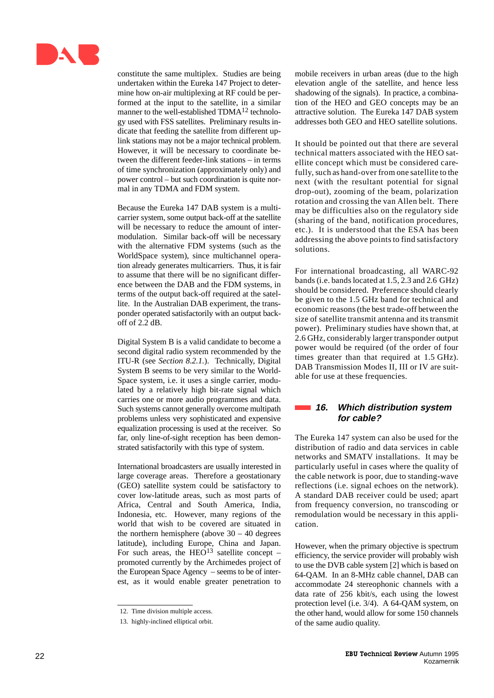

constitute the same multiplex. Studies are being undertaken within the Eureka 147 Project to determine how on-air multiplexing at RF could be performed at the input to the satellite, in a similar manner to the well-established  $TDMA<sup>12</sup>$  technology used with FSS satellites. Preliminary results indicate that feeding the satellite from different uplink stations may not be a major technical problem. However, it will be necessary to coordinate between the different feeder-link stations – in terms of time synchronization (approximately only) and power control – but such coordination is quite normal in any TDMA and FDM system.

Because the Eureka 147 DAB system is a multicarrier system, some output back-off at the satellite will be necessary to reduce the amount of intermodulation. Similar back-off will be necessary with the alternative FDM systems (such as the WorldSpace system), since multichannel operation already generates multicarriers. Thus, it is fair to assume that there will be no significant difference between the DAB and the FDM systems, in terms of the output back-off required at the satellite. In the Australian DAB experiment, the transponder operated satisfactorily with an output backoff of 2.2 dB.

Digital System B is a valid candidate to become a second digital radio system recommended by the ITU-R (see *Section 8.2.1.*). Technically, Digital System B seems to be very similar to the World-Space system, i.e. it uses a single carrier, modulated by a relatively high bit-rate signal which carries one or more audio programmes and data. Such systems cannot generally overcome multipath problems unless very sophisticated and expensive equalization processing is used at the receiver. So far, only line-of-sight reception has been demonstrated satisfactorily with this type of system.

International broadcasters are usually interested in large coverage areas. Therefore a geostationary (GEO) satellite system could be satisfactory to cover low-latitude areas, such as most parts of Africa, Central and South America, India, Indonesia, etc. However, many regions of the world that wish to be covered are situated in the northern hemisphere (above  $30 - 40$  degrees latitude), including Europe, China and Japan. For such areas, the HEO<sup>13</sup> satellite concept – promoted currently by the Archimedes project of the European Space Agency – seems to be of interest, as it would enable greater penetration to

mobile receivers in urban areas (due to the high elevation angle of the satellite, and hence less shadowing of the signals). In practice, a combination of the HEO and GEO concepts may be an attractive solution. The Eureka 147 DAB system addresses both GEO and HEO satellite solutions.

It should be pointed out that there are several technical matters associated with the HEO satellite concept which must be considered carefully, such as hand-over from one satellite to the next (with the resultant potential for signal drop-out), zooming of the beam, polarization rotation and crossing the van Allen belt. There may be difficulties also on the regulatory side (sharing of the band, notification procedures, etc.). It is understood that the ESA has been addressing the above points to find satisfactory solutions.

For international broadcasting, all WARC-92 bands (i.e. bands located at 1.5, 2.3 and 2.6 GHz) should be considered. Preference should clearly be given to the 1.5 GHz band for technical and economic reasons (the best trade-off between the size of satellite transmit antenna and its transmit power). Preliminary studies have shown that, at 2.6 GHz, considerably larger transponder output power would be required (of the order of four times greater than that required at 1.5 GHz). DAB Transmission Modes II, III or IV are suitable for use at these frequencies.

### **16. Which distribution system for cable?**

The Eureka 147 system can also be used for the distribution of radio and data services in cable networks and SMATV installations. It may be particularly useful in cases where the quality of the cable network is poor, due to standing-wave reflections (i.e. signal echoes on the network). A standard DAB receiver could be used; apart from frequency conversion, no transcoding or remodulation would be necessary in this application.

However, when the primary objective is spectrum efficiency, the service provider will probably wish to use the DVB cable system [2] which is based on 64-QAM. In an 8-MHz cable channel, DAB can accommodate 24 stereophonic channels with a data rate of 256 kbit/s, each using the lowest protection level (i.e. 3/4). A 64-QAM system, on the other hand, would allow for some 150 channels of the same audio quality.

<sup>12.</sup> Time division multiple access.

<sup>13.</sup> highly-inclined elliptical orbit.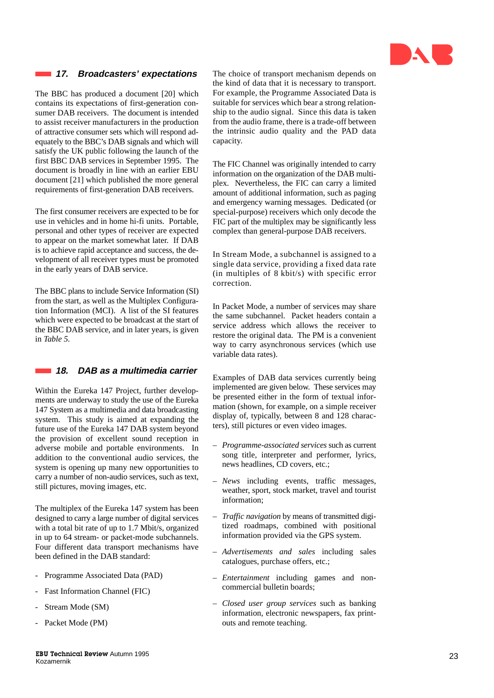

### **17. Broadcasters' expectations**

The BBC has produced a document [20] which contains its expectations of first-generation consumer DAB receivers. The document is intended to assist receiver manufacturers in the production of attractive consumer sets which will respond adequately to the BBC's DAB signals and which will satisfy the UK public following the launch of the first BBC DAB services in September 1995. The document is broadly in line with an earlier EBU document [21] which published the more general requirements of first-generation DAB receivers.

The first consumer receivers are expected to be for use in vehicles and in home hi-fi units. Portable, personal and other types of receiver are expected to appear on the market somewhat later. If DAB is to achieve rapid acceptance and success, the development of all receiver types must be promoted in the early years of DAB service.

The BBC plans to include Service Information (SI) from the start, as well as the Multiplex Configuration Information (MCI). A list of the SI features which were expected to be broadcast at the start of the BBC DAB service, and in later years, is given in *Table 5.*

**18. DAB as a multimedia carrier**

Within the Eureka 147 Project, further developments are underway to study the use of the Eureka 147 System as a multimedia and data broadcasting system. This study is aimed at expanding the future use of the Eureka 147 DAB system beyond the provision of excellent sound reception in adverse mobile and portable environments. In addition to the conventional audio services, the system is opening up many new opportunities to carry a number of non-audio services, such as text, still pictures, moving images, etc.

The multiplex of the Eureka 147 system has been designed to carry a large number of digital services with a total bit rate of up to 1.7 Mbit/s, organized in up to 64 stream- or packet-mode subchannels. Four different data transport mechanisms have been defined in the DAB standard:

- Programme Associated Data (PAD)
- Fast Information Channel (FIC)
- Stream Mode (SM)
- Packet Mode (PM)

The choice of transport mechanism depends on the kind of data that it is necessary to transport. For example, the Programme Associated Data is suitable for services which bear a strong relationship to the audio signal. Since this data is taken from the audio frame, there is a trade-off between the intrinsic audio quality and the PAD data capacity.

The FIC Channel was originally intended to carry information on the organization of the DAB multiplex. Nevertheless, the FIC can carry a limited amount of additional information, such as paging and emergency warning messages. Dedicated (or special-purpose) receivers which only decode the FIC part of the multiplex may be significantly less complex than general-purpose DAB receivers.

In Stream Mode, a subchannel is assigned to a single data service, providing a fixed data rate (in multiples of 8 kbit/s) with specific error correction.

In Packet Mode, a number of services may share the same subchannel. Packet headers contain a service address which allows the receiver to restore the original data. The PM is a convenient way to carry asynchronous services (which use variable data rates).

Examples of DAB data services currently being implemented are given below. These services may be presented either in the form of textual information (shown, for example, on a simple receiver display of, typically, between 8 and 128 characters), still pictures or even video images.

- *Programme-associated services* such as current song title, interpreter and performer, lyrics, news headlines, CD covers, etc.;
- *News* including events, traffic messages, weather, sport, stock market, travel and tourist information;
- *Traffic navigation* by means of transmitted digitized roadmaps, combined with positional information provided via the GPS system.
- *Advertisements and sales* including sales catalogues, purchase offers, etc.;
- *Entertainment* including games and noncommercial bulletin boards;
- *Closed user group services* such as banking information, electronic newspapers, fax printouts and remote teaching.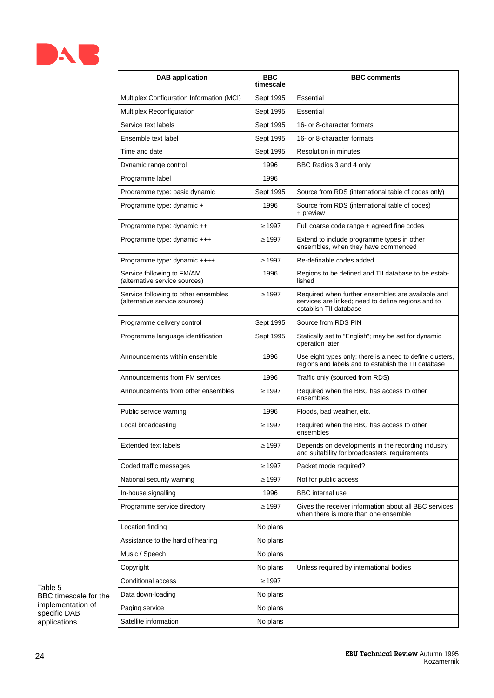

| <b>DAB</b> application                                                | <b>BBC</b><br>timescale | <b>BBC comments</b>                                                                                                               |
|-----------------------------------------------------------------------|-------------------------|-----------------------------------------------------------------------------------------------------------------------------------|
| Multiplex Configuration Information (MCI)                             | Sept 1995               | Essential                                                                                                                         |
| Multiplex Reconfiguration                                             | Sept 1995               | Essential                                                                                                                         |
| Service text labels                                                   | Sept 1995               | 16- or 8-character formats                                                                                                        |
| Ensemble text label                                                   | Sept 1995               | 16- or 8-character formats                                                                                                        |
| Time and date                                                         | Sept 1995               | <b>Resolution in minutes</b>                                                                                                      |
| Dynamic range control                                                 | 1996                    | BBC Radios 3 and 4 only                                                                                                           |
| Programme label                                                       | 1996                    |                                                                                                                                   |
| Programme type: basic dynamic                                         | Sept 1995               | Source from RDS (international table of codes only)                                                                               |
| Programme type: dynamic +                                             | 1996                    | Source from RDS (international table of codes)<br>+ preview                                                                       |
| Programme type: dynamic ++                                            | $\geq$ 1997             | Full coarse code range + agreed fine codes                                                                                        |
| Programme type: dynamic +++                                           | $\geq$ 1997             | Extend to include programme types in other<br>ensembles, when they have commenced                                                 |
| Programme type: dynamic ++++                                          | $\geq 1997$             | Re-definable codes added                                                                                                          |
| Service following to FM/AM<br>(alternative service sources)           | 1996                    | Regions to be defined and TII database to be estab-<br>lished                                                                     |
| Service following to other ensembles<br>(alternative service sources) | $\geq 1997$             | Required when further ensembles are available and<br>services are linked; need to define regions and to<br>establish TII database |
| Programme delivery control                                            | Sept 1995               | Source from RDS PIN                                                                                                               |
| Programme language identification                                     | Sept 1995               | Statically set to "English"; may be set for dynamic<br>operation later                                                            |
| Announcements within ensemble                                         | 1996                    | Use eight types only; there is a need to define clusters,<br>regions and labels and to establish the TII database                 |
| Announcements from FM services                                        | 1996                    | Traffic only (sourced from RDS)                                                                                                   |
| Announcements from other ensembles                                    | $\geq 1997$             | Required when the BBC has access to other<br>ensembles                                                                            |
| Public service warning                                                | 1996                    | Floods, bad weather, etc.                                                                                                         |
| Local broadcasting                                                    | $\geq 1997$             | Required when the BBC has access to other<br>ensembles                                                                            |
| <b>Extended text labels</b>                                           | $\geq$ 1997             | Depends on developments in the recording industry<br>and suitability for broadcasters' requirements                               |
| Coded traffic messages                                                | $\geq 1997$             | Packet mode required?                                                                                                             |
| National security warning                                             | $\geq$ 1997             | Not for public access                                                                                                             |
| In-house signalling                                                   | 1996                    | <b>BBC</b> internal use                                                                                                           |
| Programme service directory                                           | $\geq$ 1997             | Gives the receiver information about all BBC services<br>when there is more than one ensemble                                     |
| Location finding                                                      | No plans                |                                                                                                                                   |
| Assistance to the hard of hearing                                     | No plans                |                                                                                                                                   |
| Music / Speech                                                        | No plans                |                                                                                                                                   |
| Copyright                                                             | No plans                | Unless required by international bodies                                                                                           |
| Conditional access                                                    | $\geq$ 1997             |                                                                                                                                   |
| Data down-loading                                                     | No plans                |                                                                                                                                   |
| Paging service                                                        | No plans                |                                                                                                                                   |
| Satellite information                                                 | No plans                |                                                                                                                                   |

Table 5 BBC timescale for the implementation of specific DAB applications.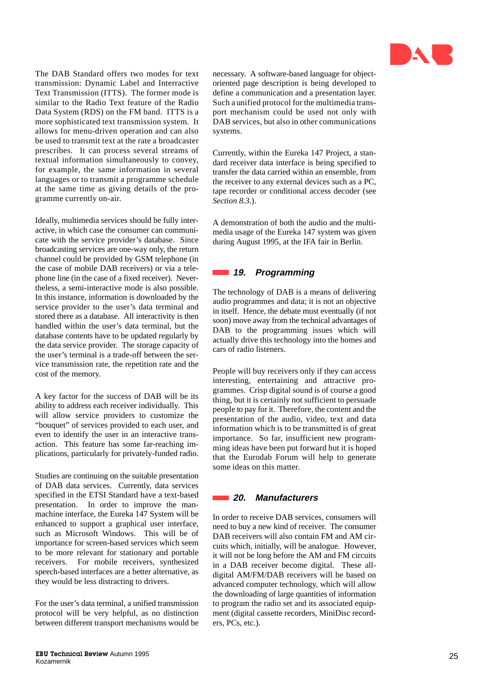

The DAB Standard offers two modes for text transmission: Dynamic Label and Interractive Text Transmission (ITTS). The former mode is similar to the Radio Text feature of the Radio Data System (RDS) on the FM band. ITTS is a more sophisticated text transmission system. It allows for menu-driven operation and can also be used to transmit text at the rate a broadcaster prescribes. It can process several streams of textual information simultaneously to convey, for example, the same information in several languages or to transmit a programme schedule at the same time as giving details of the programme currently on-air.

Ideally, multimedia services should be fully interactive, in which case the consumer can communicate with the service provider's database. Since broadcasting services are one-way only, the return channel could be provided by GSM telephone (in the case of mobile DAB receivers) or via a telephone line (in the case of a fixed receiver). Nevertheless, a semi-interactive mode is also possible. In this instance, information is downloaded by the service provider to the user's data terminal and stored there as a database. All interactivity is then handled within the user's data terminal, but the database contents have to be updated regularly by the data service provider. The storage capacity of the user's terminal is a trade-off between the service transmission rate, the repetition rate and the cost of the memory.

A key factor for the success of DAB will be its ability to address each receiver individually. This will allow service providers to customize the "bouquet" of services provided to each user, and even to identify the user in an interactive transaction. This feature has some far-reaching implications, particularly for privately-funded radio.

Studies are continuing on the suitable presentation of DAB data services. Currently, data services specified in the ETSI Standard have a text-based presentation. In order to improve the manmachine interface, the Eureka 147 System will be enhanced to support a graphical user interface, such as Microsoft Windows. This will be of importance for screen-based services which seem to be more relevant for stationary and portable receivers. For mobile receivers, synthesized speech-based interfaces are a better alternative, as they would be less distracting to drivers.

For the user's data terminal, a unified transmission protocol will be very helpful, as no distinction between different transport mechanisms would be necessary. A software-based language for objectoriented page description is being developed to define a communication and a presentation layer. Such a unified protocol for the multimedia transport mechanism could be used not only with DAB services, but also in other communications systems.

Currently, within the Eureka 147 Project, a standard receiver data interface is being specified to transfer the data carried within an ensemble, from the receiver to any external devices such as a PC, tape recorder or conditional access decoder (see *Section 8.3.*).

A demonstration of both the audio and the multimedia usage of the Eureka 147 system was given during August 1995, at the IFA fair in Berlin.

### **19. Programming**

The technology of DAB is a means of delivering audio programmes and data; it is not an objective in itself. Hence, the debate must eventually (if not soon) move away from the technical advantages of DAB to the programming issues which will actually drive this technology into the homes and cars of radio listeners.

People will buy receivers only if they can access interesting, entertaining and attractive programmes. Crisp digital sound is of course a good thing, but it is certainly not sufficient to persuade people to pay for it. Therefore, the content and the presentation of the audio, video, text and data information which is to be transmitted is of great importance. So far, insufficient new programming ideas have been put forward but it is hoped that the Eurodab Forum will help to generate some ideas on this matter.

### **20. Manufacturers**

In order to receive DAB services, consumers will need to buy a new kind of receiver. The consumer DAB receivers will also contain FM and AM circuits which, initially, will be analogue. However, it will not be long before the AM and FM circuits in a DAB receiver become digital. These alldigital AM/FM/DAB receivers will be based on advanced computer technology, which will allow the downloading of large quantities of information to program the radio set and its associated equipment (digital cassette recorders, MiniDisc recorders, PCs, etc.).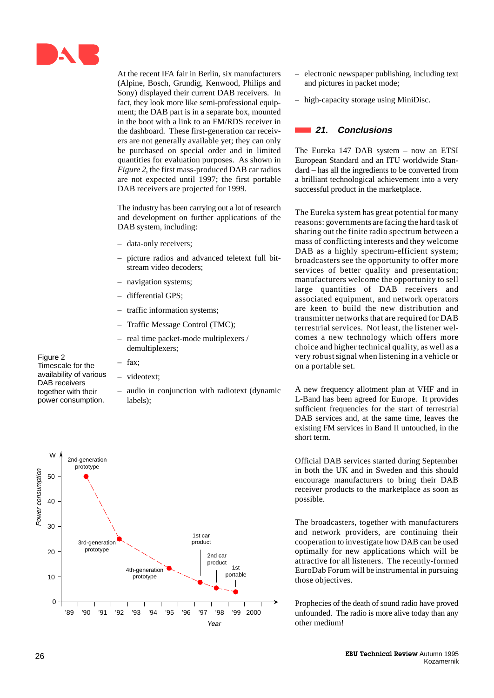

At the recent IFA fair in Berlin, six manufacturers (Alpine, Bosch, Grundig, Kenwood, Philips and Sony) displayed their current DAB receivers. In fact, they look more like semi-professional equipment; the DAB part is in a separate box, mounted in the boot with a link to an FM/RDS receiver in the dashboard. These first-generation car receivers are not generally available yet; they can only be purchased on special order and in limited quantities for evaluation purposes. As shown in *Figure 2*, the first mass-produced DAB car radios are not expected until 1997; the first portable DAB receivers are projected for 1999.

The industry has been carrying out a lot of research and development on further applications of the DAB system, including:

- data-only receivers;
- picture radios and advanced teletext full bitstream video decoders;
- navigation systems;
- differential GPS;
- traffic information systems;
- Traffic Message Control (TMC);
- real time packet-mode multiplexers / demultiplexers;

Figure 2 Timescale for the availability of various DAB receivers together with their power consumption.

- fax; – videotext;
- audio in conjunction with radiotext (dynamic labels);



- electronic newspaper publishing, including text and pictures in packet mode;
- high-capacity storage using MiniDisc.

### **21. Conclusions**

The Eureka 147 DAB system – now an ETSI European Standard and an ITU worldwide Standard – has all the ingredients to be converted from a brilliant technological achievement into a very successful product in the marketplace.

The Eureka system has great potential for many reasons: governments are facing the hard task of sharing out the finite radio spectrum between a mass of conflicting interests and they welcome DAB as a highly spectrum-efficient system; broadcasters see the opportunity to offer more services of better quality and presentation; manufacturers welcome the opportunity to sell large quantities of DAB receivers and associated equipment, and network operators are keen to build the new distribution and transmitter networks that are required for DAB terrestrial services. Not least, the listener welcomes a new technology which offers more choice and higher technical quality, as well as a very robust signal when listening in a vehicle or on a portable set.

A new frequency allotment plan at VHF and in L-Band has been agreed for Europe. It provides sufficient frequencies for the start of terrestrial DAB services and, at the same time, leaves the existing FM services in Band II untouched, in the short term.

Official DAB services started during September in both the UK and in Sweden and this should encourage manufacturers to bring their DAB receiver products to the marketplace as soon as possible.

The broadcasters, together with manufacturers and network providers, are continuing their cooperation to investigate how DAB can be used optimally for new applications which will be attractive for all listeners. The recently-formed EuroDab Forum will be instrumental in pursuing those objectives.

Prophecies of the death of sound radio have proved unfounded. The radio is more alive today than any other medium!